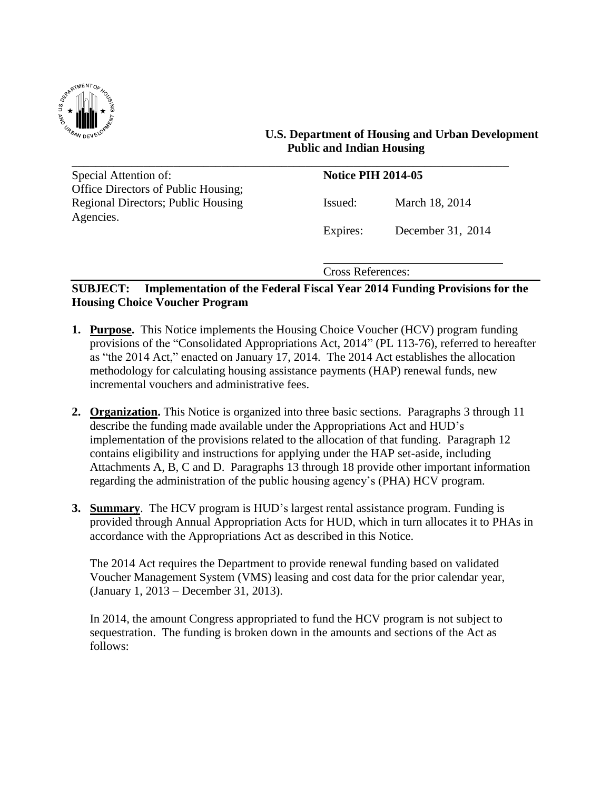

 **U.S. Department of Housing and Urban Development Public and Indian Housing**

| Special Attention of:                     | <b>Notice PIH 2014-05</b> |                   |
|-------------------------------------------|---------------------------|-------------------|
| Office Directors of Public Housing;       |                           |                   |
| <b>Regional Directors; Public Housing</b> | Issued:                   | March 18, 2014    |
| Agencies.                                 |                           |                   |
|                                           | Expires:                  | December 31, 2014 |

Cross References:

# **SUBJECT: Implementation of the Federal Fiscal Year 2014 Funding Provisions for the Housing Choice Voucher Program**

- **1. Purpose.** This Notice implements the Housing Choice Voucher (HCV) program funding provisions of the "Consolidated Appropriations Act, 2014" (PL 113-76), referred to hereafter as "the 2014 Act," enacted on January 17, 2014. The 2014 Act establishes the allocation methodology for calculating housing assistance payments (HAP) renewal funds, new incremental vouchers and administrative fees.
- **2. Organization.** This Notice is organized into three basic sections. Paragraphs 3 through 11 describe the funding made available under the Appropriations Act and HUD's implementation of the provisions related to the allocation of that funding. Paragraph 12 contains eligibility and instructions for applying under the HAP set-aside, including Attachments A, B, C and D. Paragraphs 13 through 18 provide other important information regarding the administration of the public housing agency's (PHA) HCV program.
- **3. Summary**. The HCV program is HUD's largest rental assistance program. Funding is provided through Annual Appropriation Acts for HUD, which in turn allocates it to PHAs in accordance with the Appropriations Act as described in this Notice.

The 2014 Act requires the Department to provide renewal funding based on validated Voucher Management System (VMS) leasing and cost data for the prior calendar year, (January 1, 2013 – December 31, 2013).

In 2014, the amount Congress appropriated to fund the HCV program is not subject to sequestration. The funding is broken down in the amounts and sections of the Act as follows: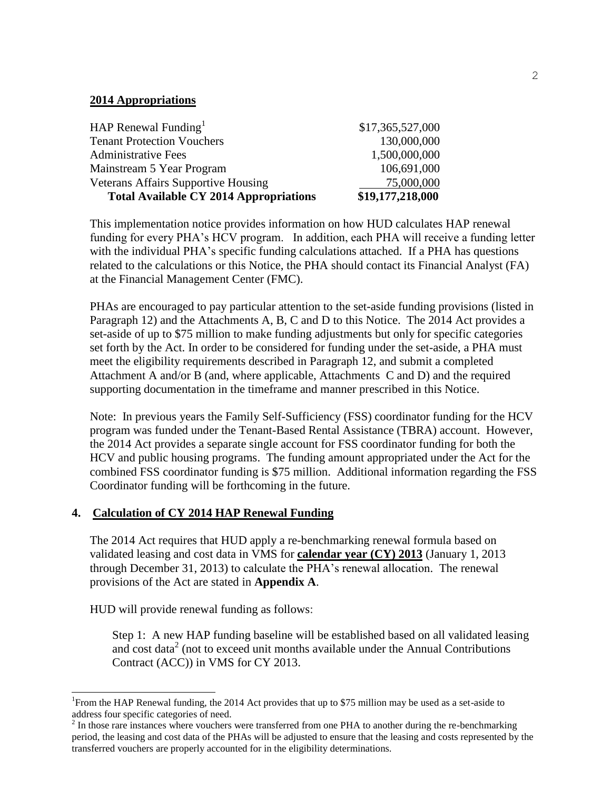### **2014 Appropriations**

| <b>Total Available CY 2014 Appropriations</b> | \$19,177,218,000 |
|-----------------------------------------------|------------------|
| <b>Veterans Affairs Supportive Housing</b>    | 75,000,000       |
| Mainstream 5 Year Program                     | 106,691,000      |
| <b>Administrative Fees</b>                    | 1,500,000,000    |
| <b>Tenant Protection Vouchers</b>             | 130,000,000      |
| HAP Renewal Funding <sup>1</sup>              | \$17,365,527,000 |

This implementation notice provides information on how HUD calculates HAP renewal funding for every PHA's HCV program. In addition, each PHA will receive a funding letter with the individual PHA's specific funding calculations attached. If a PHA has questions related to the calculations or this Notice, the PHA should contact its Financial Analyst (FA) at the Financial Management Center (FMC).

PHAs are encouraged to pay particular attention to the set-aside funding provisions (listed in Paragraph 12) and the Attachments A, B, C and D to this Notice. The 2014 Act provides a set-aside of up to \$75 million to make funding adjustments but only for specific categories set forth by the Act. In order to be considered for funding under the set-aside, a PHA must meet the eligibility requirements described in Paragraph 12, and submit a completed Attachment A and/or B (and, where applicable, Attachments C and D) and the required supporting documentation in the timeframe and manner prescribed in this Notice.

Note: In previous years the Family Self-Sufficiency (FSS) coordinator funding for the HCV program was funded under the Tenant-Based Rental Assistance (TBRA) account. However, the 2014 Act provides a separate single account for FSS coordinator funding for both the HCV and public housing programs. The funding amount appropriated under the Act for the combined FSS coordinator funding is \$75 million. Additional information regarding the FSS Coordinator funding will be forthcoming in the future.

# **4. Calculation of CY 2014 HAP Renewal Funding**

The 2014 Act requires that HUD apply a re-benchmarking renewal formula based on validated leasing and cost data in VMS for **calendar year (CY) 2013** (January 1, 2013 through December 31, 2013) to calculate the PHA's renewal allocation. The renewal provisions of the Act are stated in **Appendix A**.

HUD will provide renewal funding as follows:

 $\overline{\phantom{a}}$ 

Step 1: A new HAP funding baseline will be established based on all validated leasing and cost data<sup>2</sup> (not to exceed unit months available under the Annual Contributions Contract (ACC)) in VMS for CY 2013.

<sup>&</sup>lt;sup>1</sup> From the HAP Renewal funding, the 2014 Act provides that up to \$75 million may be used as a set-aside to address four specific categories of need.

 $2<sup>2</sup>$  In those rare instances where vouchers were transferred from one PHA to another during the re-benchmarking period, the leasing and cost data of the PHAs will be adjusted to ensure that the leasing and costs represented by the transferred vouchers are properly accounted for in the eligibility determinations.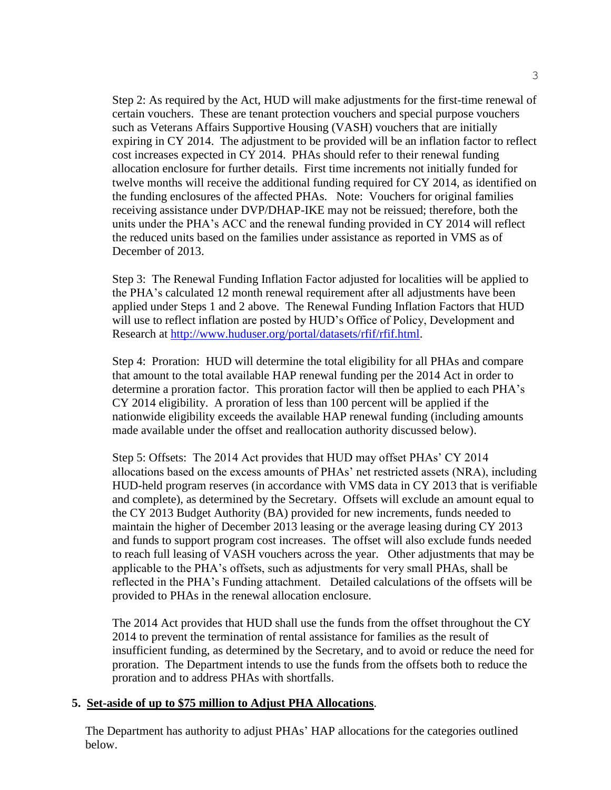Step 2: As required by the Act, HUD will make adjustments for the first-time renewal of certain vouchers. These are tenant protection vouchers and special purpose vouchers such as Veterans Affairs Supportive Housing (VASH) vouchers that are initially expiring in CY 2014. The adjustment to be provided will be an inflation factor to reflect cost increases expected in CY 2014. PHAs should refer to their renewal funding allocation enclosure for further details. First time increments not initially funded for twelve months will receive the additional funding required for CY 2014, as identified on the funding enclosures of the affected PHAs. Note: Vouchers for original families receiving assistance under DVP/DHAP-IKE may not be reissued; therefore, both the units under the PHA's ACC and the renewal funding provided in CY 2014 will reflect the reduced units based on the families under assistance as reported in VMS as of December of 2013.

Step 3: The Renewal Funding Inflation Factor adjusted for localities will be applied to the PHA's calculated 12 month renewal requirement after all adjustments have been applied under Steps 1 and 2 above. The Renewal Funding Inflation Factors that HUD will use to reflect inflation are posted by HUD's Office of Policy, Development and Research at [http://www.huduser.org/portal/datasets/rfif/rfif.html.](http://www.huduser.org/portal/datasets/rfif/rfif.html)

Step 4: Proration: HUD will determine the total eligibility for all PHAs and compare that amount to the total available HAP renewal funding per the 2014 Act in order to determine a proration factor. This proration factor will then be applied to each PHA's CY 2014 eligibility. A proration of less than 100 percent will be applied if the nationwide eligibility exceeds the available HAP renewal funding (including amounts made available under the offset and reallocation authority discussed below).

Step 5: Offsets: The 2014 Act provides that HUD may offset PHAs' CY 2014 allocations based on the excess amounts of PHAs' net restricted assets (NRA), including HUD-held program reserves (in accordance with VMS data in CY 2013 that is verifiable and complete), as determined by the Secretary. Offsets will exclude an amount equal to the CY 2013 Budget Authority (BA) provided for new increments, funds needed to maintain the higher of December 2013 leasing or the average leasing during CY 2013 and funds to support program cost increases. The offset will also exclude funds needed to reach full leasing of VASH vouchers across the year. Other adjustments that may be applicable to the PHA's offsets, such as adjustments for very small PHAs, shall be reflected in the PHA's Funding attachment. Detailed calculations of the offsets will be provided to PHAs in the renewal allocation enclosure.

The 2014 Act provides that HUD shall use the funds from the offset throughout the CY 2014 to prevent the termination of rental assistance for families as the result of insufficient funding, as determined by the Secretary, and to avoid or reduce the need for proration. The Department intends to use the funds from the offsets both to reduce the proration and to address PHAs with shortfalls.

### **5. Set-aside of up to \$75 million to Adjust PHA Allocations**.

The Department has authority to adjust PHAs' HAP allocations for the categories outlined below.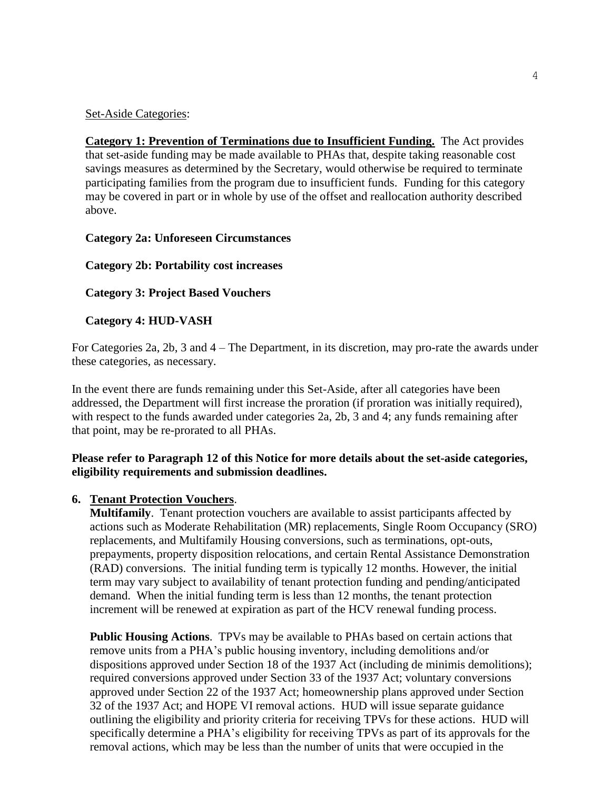#### Set-Aside Categories:

**Category 1: Prevention of Terminations due to Insufficient Funding.** The Act provides that set-aside funding may be made available to PHAs that, despite taking reasonable cost savings measures as determined by the Secretary, would otherwise be required to terminate participating families from the program due to insufficient funds. Funding for this category may be covered in part or in whole by use of the offset and reallocation authority described above.

#### **Category 2a: Unforeseen Circumstances**

### **Category 2b: Portability cost increases**

### **Category 3: Project Based Vouchers**

### **Category 4: HUD-VASH**

For Categories 2a, 2b, 3 and 4 – The Department, in its discretion, may pro-rate the awards under these categories, as necessary.

In the event there are funds remaining under this Set-Aside, after all categories have been addressed, the Department will first increase the proration (if proration was initially required), with respect to the funds awarded under categories 2a, 2b, 3 and 4; any funds remaining after that point, may be re-prorated to all PHAs.

### **Please refer to Paragraph 12 of this Notice for more details about the set-aside categories, eligibility requirements and submission deadlines.**

### **6. Tenant Protection Vouchers**.

**Multifamily**. Tenant protection vouchers are available to assist participants affected by actions such as Moderate Rehabilitation (MR) replacements, Single Room Occupancy (SRO) replacements, and Multifamily Housing conversions, such as terminations, opt-outs, prepayments, property disposition relocations, and certain Rental Assistance Demonstration (RAD) conversions. The initial funding term is typically 12 months. However, the initial term may vary subject to availability of tenant protection funding and pending/anticipated demand. When the initial funding term is less than 12 months, the tenant protection increment will be renewed at expiration as part of the HCV renewal funding process.

**Public Housing Actions**. TPVs may be available to PHAs based on certain actions that remove units from a PHA's public housing inventory, including demolitions and/or dispositions approved under Section 18 of the 1937 Act (including de minimis demolitions); required conversions approved under Section 33 of the 1937 Act; voluntary conversions approved under Section 22 of the 1937 Act; homeownership plans approved under Section 32 of the 1937 Act; and HOPE VI removal actions. HUD will issue separate guidance outlining the eligibility and priority criteria for receiving TPVs for these actions. HUD will specifically determine a PHA's eligibility for receiving TPVs as part of its approvals for the removal actions, which may be less than the number of units that were occupied in the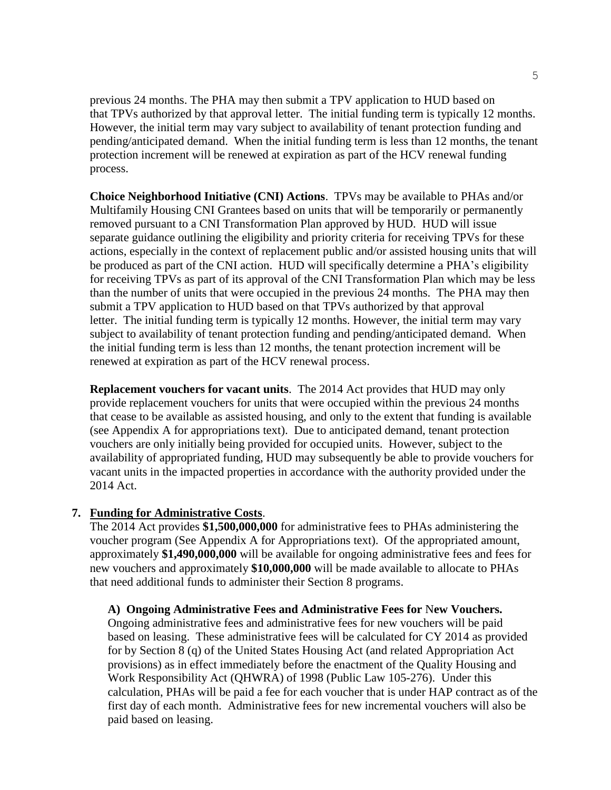previous 24 months. The PHA may then submit a TPV application to HUD based on that TPVs authorized by that approval letter. The initial funding term is typically 12 months. However, the initial term may vary subject to availability of tenant protection funding and pending/anticipated demand. When the initial funding term is less than 12 months, the tenant protection increment will be renewed at expiration as part of the HCV renewal funding process.

**Choice Neighborhood Initiative (CNI) Actions**. TPVs may be available to PHAs and/or Multifamily Housing CNI Grantees based on units that will be temporarily or permanently removed pursuant to a CNI Transformation Plan approved by HUD. HUD will issue separate guidance outlining the eligibility and priority criteria for receiving TPVs for these actions, especially in the context of replacement public and/or assisted housing units that will be produced as part of the CNI action. HUD will specifically determine a PHA's eligibility for receiving TPVs as part of its approval of the CNI Transformation Plan which may be less than the number of units that were occupied in the previous 24 months. The PHA may then submit a TPV application to HUD based on that TPVs authorized by that approval letter. The initial funding term is typically 12 months. However, the initial term may vary subject to availability of tenant protection funding and pending/anticipated demand. When the initial funding term is less than 12 months, the tenant protection increment will be renewed at expiration as part of the HCV renewal process.

**Replacement vouchers for vacant units**. The 2014 Act provides that HUD may only provide replacement vouchers for units that were occupied within the previous 24 months that cease to be available as assisted housing, and only to the extent that funding is available (see Appendix A for appropriations text). Due to anticipated demand, tenant protection vouchers are only initially being provided for occupied units. However, subject to the availability of appropriated funding, HUD may subsequently be able to provide vouchers for vacant units in the impacted properties in accordance with the authority provided under the 2014 Act.

### **7. Funding for Administrative Costs**.

The 2014 Act provides **\$1,500,000,000** for administrative fees to PHAs administering the voucher program (See Appendix A for Appropriations text). Of the appropriated amount, approximately **\$1,490,000,000** will be available for ongoing administrative fees and fees for new vouchers and approximately **\$10,000,000** will be made available to allocate to PHAs that need additional funds to administer their Section 8 programs.

**A) Ongoing Administrative Fees and Administrative Fees for** N**ew Vouchers.** 

 Ongoing administrative fees and administrative fees for new vouchers will be paid based on leasing. These administrative fees will be calculated for CY 2014 as provided for by Section 8 (q) of the United States Housing Act (and related Appropriation Act provisions) as in effect immediately before the enactment of the Quality Housing and Work Responsibility Act (QHWRA) of 1998 (Public Law 105-276). Under this calculation, PHAs will be paid a fee for each voucher that is under HAP contract as of the first day of each month. Administrative fees for new incremental vouchers will also be paid based on leasing.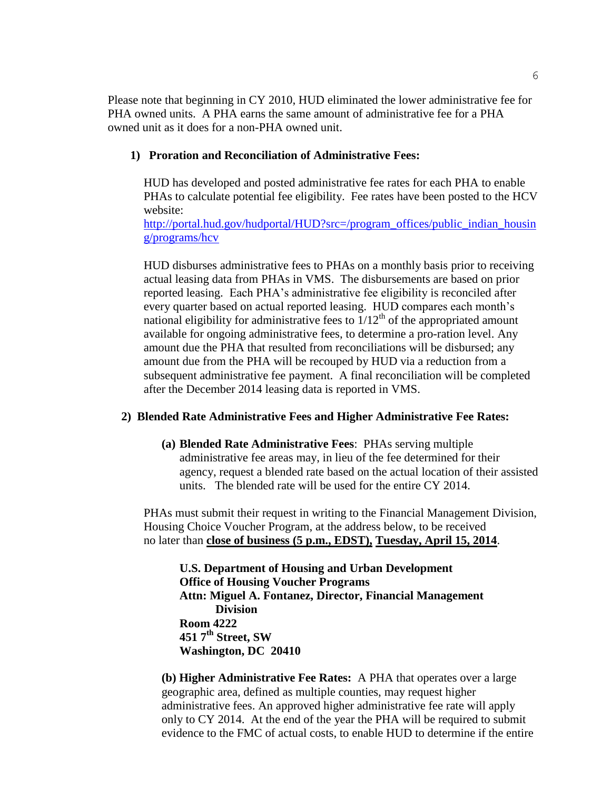Please note that beginning in CY 2010, HUD eliminated the lower administrative fee for PHA owned units. A PHA earns the same amount of administrative fee for a PHA owned unit as it does for a non-PHA owned unit.

#### **1) Proration and Reconciliation of Administrative Fees:**

HUD has developed and posted administrative fee rates for each PHA to enable PHAs to calculate potential fee eligibility. Fee rates have been posted to the HCV website:

[http://portal.hud.gov/hudportal/HUD?src=/program\\_offices/public\\_indian\\_housin](http://portal.hud.gov/hudportal/HUD?src=/program_offices/public_indian_housing/programs/hcv) [g/programs/hcv](http://portal.hud.gov/hudportal/HUD?src=/program_offices/public_indian_housing/programs/hcv)

HUD disburses administrative fees to PHAs on a monthly basis prior to receiving actual leasing data from PHAs in VMS. The disbursements are based on prior reported leasing. Each PHA's administrative fee eligibility is reconciled after every quarter based on actual reported leasing. HUD compares each month's national eligibility for administrative fees to  $1/12<sup>th</sup>$  of the appropriated amount available for ongoing administrative fees, to determine a pro-ration level. Any amount due the PHA that resulted from reconciliations will be disbursed; any amount due from the PHA will be recouped by HUD via a reduction from a subsequent administrative fee payment. A final reconciliation will be completed after the December 2014 leasing data is reported in VMS.

#### **2) Blended Rate Administrative Fees and Higher Administrative Fee Rates:**

**(a) Blended Rate Administrative Fees**: PHAs serving multiple administrative fee areas may, in lieu of the fee determined for their agency, request a blended rate based on the actual location of their assisted units. The blended rate will be used for the entire CY 2014.

PHAs must submit their request in writing to the Financial Management Division, Housing Choice Voucher Program, at the address below, to be received no later than **close of business (5 p.m., EDST), Tuesday, April 15, 2014**.

**U.S. Department of Housing and Urban Development Office of Housing Voucher Programs Attn: Miguel A. Fontanez, Director, Financial Management Division Room 4222 451 7th Street, SW Washington, DC 20410**

**(b) Higher Administrative Fee Rates:** A PHA that operates over a large geographic area, defined as multiple counties, may request higher administrative fees. An approved higher administrative fee rate will apply only to CY 2014. At the end of the year the PHA will be required to submit evidence to the FMC of actual costs, to enable HUD to determine if the entire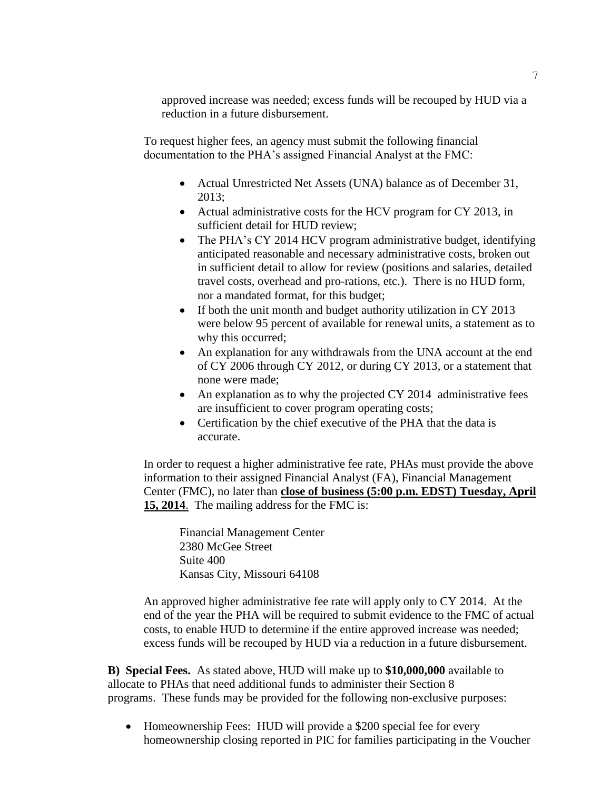approved increase was needed; excess funds will be recouped by HUD via a reduction in a future disbursement.

To request higher fees, an agency must submit the following financial documentation to the PHA's assigned Financial Analyst at the FMC:

- Actual Unrestricted Net Assets (UNA) balance as of December 31, 2013;
- Actual administrative costs for the HCV program for CY 2013, in sufficient detail for HUD review;
- The PHA's CY 2014 HCV program administrative budget, identifying anticipated reasonable and necessary administrative costs, broken out in sufficient detail to allow for review (positions and salaries, detailed travel costs, overhead and pro-rations, etc.). There is no HUD form, nor a mandated format, for this budget;
- If both the unit month and budget authority utilization in CY 2013 were below 95 percent of available for renewal units, a statement as to why this occurred;
- An explanation for any withdrawals from the UNA account at the end of CY 2006 through CY 2012, or during CY 2013, or a statement that none were made;
- An explanation as to why the projected CY 2014 administrative fees are insufficient to cover program operating costs;
- Certification by the chief executive of the PHA that the data is accurate.

In order to request a higher administrative fee rate, PHAs must provide the above information to their assigned Financial Analyst (FA), Financial Management Center (FMC), no later than **close of business (5:00 p.m. EDST) Tuesday, April 15, 2014**. The mailing address for the FMC is:

Financial Management Center 2380 McGee Street Suite 400 Kansas City, Missouri 64108

An approved higher administrative fee rate will apply only to CY 2014. At the end of the year the PHA will be required to submit evidence to the FMC of actual costs, to enable HUD to determine if the entire approved increase was needed; excess funds will be recouped by HUD via a reduction in a future disbursement.

**B) Special Fees.** As stated above, HUD will make up to **\$10,000,000** available to allocate to PHAs that need additional funds to administer their Section 8 programs. These funds may be provided for the following non-exclusive purposes:

• Homeownership Fees: HUD will provide a \$200 special fee for every homeownership closing reported in PIC for families participating in the Voucher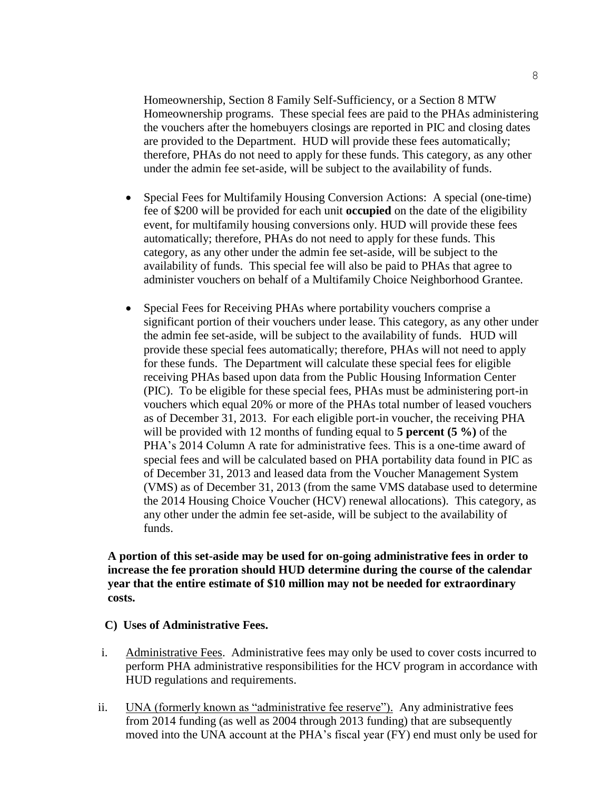Homeownership, Section 8 Family Self-Sufficiency, or a Section 8 MTW Homeownership programs. These special fees are paid to the PHAs administering the vouchers after the homebuyers closings are reported in PIC and closing dates are provided to the Department. HUD will provide these fees automatically; therefore, PHAs do not need to apply for these funds. This category, as any other under the admin fee set-aside, will be subject to the availability of funds.

- Special Fees for Multifamily Housing Conversion Actions: A special (one-time) fee of \$200 will be provided for each unit **occupied** on the date of the eligibility event, for multifamily housing conversions only. HUD will provide these fees automatically; therefore, PHAs do not need to apply for these funds. This category, as any other under the admin fee set-aside, will be subject to the availability of funds. This special fee will also be paid to PHAs that agree to administer vouchers on behalf of a Multifamily Choice Neighborhood Grantee.
- Special Fees for Receiving PHAs where portability vouchers comprise a significant portion of their vouchers under lease. This category, as any other under the admin fee set-aside, will be subject to the availability of funds. HUD will provide these special fees automatically; therefore, PHAs will not need to apply for these funds. The Department will calculate these special fees for eligible receiving PHAs based upon data from the Public Housing Information Center (PIC). To be eligible for these special fees, PHAs must be administering port-in vouchers which equal 20% or more of the PHAs total number of leased vouchers as of December 31, 2013. For each eligible port-in voucher, the receiving PHA will be provided with 12 months of funding equal to **5 percent (5 %)** of the PHA's 2014 Column A rate for administrative fees. This is a one-time award of special fees and will be calculated based on PHA portability data found in PIC as of December 31, 2013 and leased data from the Voucher Management System (VMS) as of December 31, 2013 (from the same VMS database used to determine the 2014 Housing Choice Voucher (HCV) renewal allocations). This category, as any other under the admin fee set-aside, will be subject to the availability of funds.

### **A portion of this set-aside may be used for on-going administrative fees in order to increase the fee proration should HUD determine during the course of the calendar year that the entire estimate of \$10 million may not be needed for extraordinary costs.**

- **C) Uses of Administrative Fees.**
- i. Administrative Fees. Administrative fees may only be used to cover costs incurred to perform PHA administrative responsibilities for the HCV program in accordance with HUD regulations and requirements.
- ii. UNA (formerly known as "administrative fee reserve"). Any administrative fees from 2014 funding (as well as 2004 through 2013 funding) that are subsequently moved into the UNA account at the PHA's fiscal year (FY) end must only be used for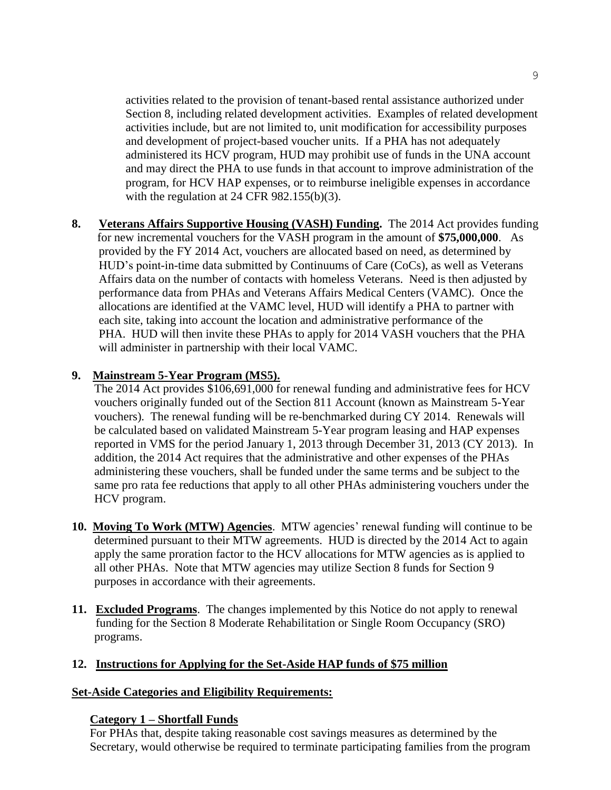activities related to the provision of tenant-based rental assistance authorized under Section 8, including related development activities. Examples of related development activities include, but are not limited to, unit modification for accessibility purposes and development of project-based voucher units. If a PHA has not adequately administered its HCV program, HUD may prohibit use of funds in the UNA account and may direct the PHA to use funds in that account to improve administration of the program, for HCV HAP expenses, or to reimburse ineligible expenses in accordance with the regulation at 24 CFR 982.155(b)(3).

**8. Veterans Affairs Supportive Housing (VASH) Funding.** The 2014 Act provides funding for new incremental vouchers for the VASH program in the amount of **\$75,000,000**. As provided by the FY 2014 Act, vouchers are allocated based on need, as determined by HUD's point-in-time data submitted by Continuums of Care (CoCs), as well as Veterans Affairs data on the number of contacts with homeless Veterans. Need is then adjusted by performance data from PHAs and Veterans Affairs Medical Centers (VAMC). Once the allocations are identified at the VAMC level, HUD will identify a PHA to partner with each site, taking into account the location and administrative performance of the PHA. HUD will then invite these PHAs to apply for 2014 VASH vouchers that the PHA will administer in partnership with their local VAMC.

# **9. Mainstream 5-Year Program (MS5).**

The 2014 Act provides \$106,691,000 for renewal funding and administrative fees for HCV vouchers originally funded out of the Section 811 Account (known as Mainstream 5-Year vouchers). The renewal funding will be re-benchmarked during CY 2014. Renewals will be calculated based on validated Mainstream 5-Year program leasing and HAP expenses reported in VMS for the period January 1, 2013 through December 31, 2013 (CY 2013). In addition, the 2014 Act requires that the administrative and other expenses of the PHAs administering these vouchers, shall be funded under the same terms and be subject to the same pro rata fee reductions that apply to all other PHAs administering vouchers under the HCV program.

- **10. Moving To Work (MTW) Agencies**. MTW agencies' renewal funding will continue to be determined pursuant to their MTW agreements. HUD is directed by the 2014 Act to again apply the same proration factor to the HCV allocations for MTW agencies as is applied to all other PHAs. Note that MTW agencies may utilize Section 8 funds for Section 9 purposes in accordance with their agreements.
- **11. Excluded Programs**. The changes implemented by this Notice do not apply to renewal funding for the Section 8 Moderate Rehabilitation or Single Room Occupancy (SRO) programs.

# **12. Instructions for Applying for the Set-Aside HAP funds of \$75 million**

# **Set-Aside Categories and Eligibility Requirements:**

# **Category 1 – Shortfall Funds**

For PHAs that, despite taking reasonable cost savings measures as determined by the Secretary, would otherwise be required to terminate participating families from the program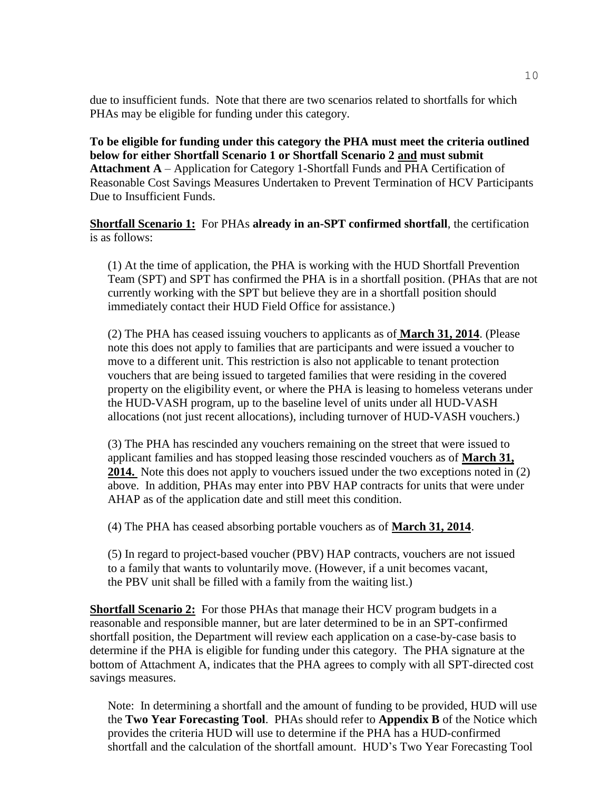due to insufficient funds. Note that there are two scenarios related to shortfalls for which PHAs may be eligible for funding under this category.

**To be eligible for funding under this category the PHA must meet the criteria outlined below for either Shortfall Scenario 1 or Shortfall Scenario 2 and must submit Attachment A** – Application for Category 1-Shortfall Funds and PHA Certification of Reasonable Cost Savings Measures Undertaken to Prevent Termination of HCV Participants Due to Insufficient Funds.

**Shortfall Scenario 1:** For PHAs **already in an-SPT confirmed shortfall**, the certification is as follows:

(1) At the time of application, the PHA is working with the HUD Shortfall Prevention Team (SPT) and SPT has confirmed the PHA is in a shortfall position. (PHAs that are not currently working with the SPT but believe they are in a shortfall position should immediately contact their HUD Field Office for assistance.)

(2) The PHA has ceased issuing vouchers to applicants as of **March 31, 2014**. (Please note this does not apply to families that are participants and were issued a voucher to move to a different unit. This restriction is also not applicable to tenant protection vouchers that are being issued to targeted families that were residing in the covered property on the eligibility event, or where the PHA is leasing to homeless veterans under the HUD-VASH program, up to the baseline level of units under all HUD-VASH allocations (not just recent allocations), including turnover of HUD-VASH vouchers.)

(3) The PHA has rescinded any vouchers remaining on the street that were issued to applicant families and has stopped leasing those rescinded vouchers as of **March 31,**  2014. Note this does not apply to vouchers issued under the two exceptions noted in (2) above. In addition, PHAs may enter into PBV HAP contracts for units that were under AHAP as of the application date and still meet this condition.

(4) The PHA has ceased absorbing portable vouchers as of **March 31, 2014**.

(5) In regard to project-based voucher (PBV) HAP contracts, vouchers are not issued to a family that wants to voluntarily move. (However, if a unit becomes vacant, the PBV unit shall be filled with a family from the waiting list.)

**Shortfall Scenario 2:** For those PHAs that manage their HCV program budgets in a reasonable and responsible manner, but are later determined to be in an SPT-confirmed shortfall position, the Department will review each application on a case-by-case basis to determine if the PHA is eligible for funding under this category. The PHA signature at the bottom of Attachment A, indicates that the PHA agrees to comply with all SPT-directed cost savings measures.

Note: In determining a shortfall and the amount of funding to be provided, HUD will use the **Two Year Forecasting Tool**. PHAs should refer to **Appendix B** of the Notice which provides the criteria HUD will use to determine if the PHA has a HUD-confirmed shortfall and the calculation of the shortfall amount. HUD's Two Year Forecasting Tool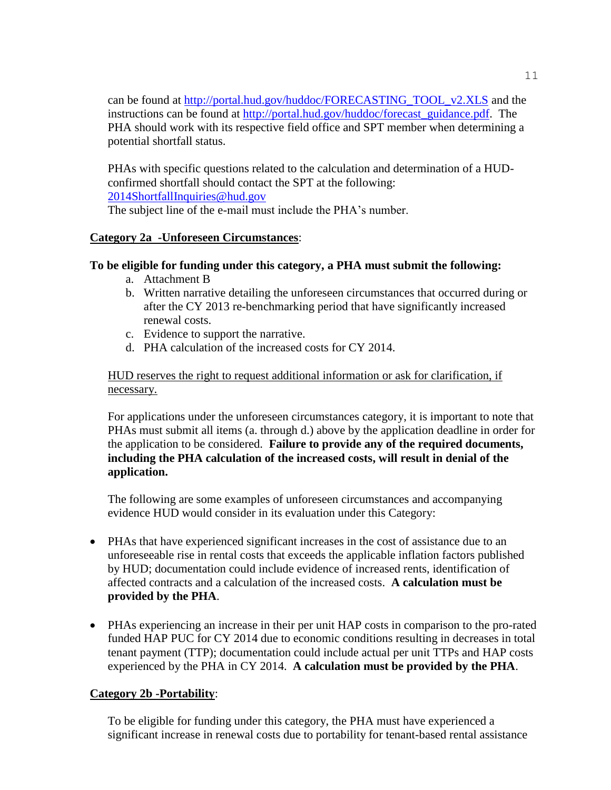can be found at [http://portal.hud.gov/huddoc/FORECASTING\\_TOOL\\_v2.XLS](http://portal.hud.gov/huddoc/FORECASTING_TOOL_v2.XLS) and the instructions can be found at [http://portal.hud.gov/huddoc/forecast\\_guidance.pdf.](http://portal.hud.gov/huddoc/forecast_guidance.pdf) The PHA should work with its respective field office and SPT member when determining a potential shortfall status.

PHAs with specific questions related to the calculation and determination of a HUDconfirmed shortfall should contact the SPT at the following: [2014ShortfallInquiries@hud.gov](mailto:2014ShortfallInquiries@hud.gov)

The subject line of the e-mail must include the PHA's number.

# **Category 2a -Unforeseen Circumstances**:

# **To be eligible for funding under this category, a PHA must submit the following:**

- a. Attachment B
- b. Written narrative detailing the unforeseen circumstances that occurred during or after the CY 2013 re-benchmarking period that have significantly increased renewal costs.
- c. Evidence to support the narrative.
- d. PHA calculation of the increased costs for CY 2014.

HUD reserves the right to request additional information or ask for clarification, if necessary.

For applications under the unforeseen circumstances category, it is important to note that PHAs must submit all items (a. through d.) above by the application deadline in order for the application to be considered. **Failure to provide any of the required documents, including the PHA calculation of the increased costs, will result in denial of the application.** 

The following are some examples of unforeseen circumstances and accompanying evidence HUD would consider in its evaluation under this Category:

- PHAs that have experienced significant increases in the cost of assistance due to an unforeseeable rise in rental costs that exceeds the applicable inflation factors published by HUD; documentation could include evidence of increased rents, identification of affected contracts and a calculation of the increased costs. **A calculation must be provided by the PHA**.
- PHAs experiencing an increase in their per unit HAP costs in comparison to the pro-rated funded HAP PUC for CY 2014 due to economic conditions resulting in decreases in total tenant payment (TTP); documentation could include actual per unit TTPs and HAP costs experienced by the PHA in CY 2014. **A calculation must be provided by the PHA**.

# **Category 2b -Portability**:

To be eligible for funding under this category, the PHA must have experienced a significant increase in renewal costs due to portability for tenant-based rental assistance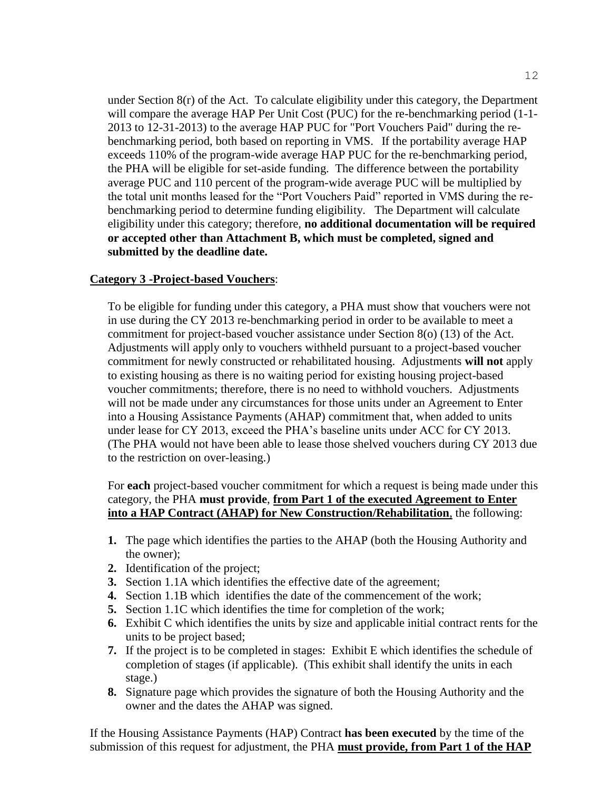under Section 8(r) of the Act. To calculate eligibility under this category, the Department will compare the average HAP Per Unit Cost (PUC) for the re-benchmarking period (1-1-2013 to 12-31-2013) to the average HAP PUC for "Port Vouchers Paid" during the rebenchmarking period, both based on reporting in VMS. If the portability average HAP exceeds 110% of the program-wide average HAP PUC for the re-benchmarking period, the PHA will be eligible for set-aside funding. The difference between the portability average PUC and 110 percent of the program-wide average PUC will be multiplied by the total unit months leased for the "Port Vouchers Paid" reported in VMS during the rebenchmarking period to determine funding eligibility. The Department will calculate eligibility under this category; therefore, **no additional documentation will be required or accepted other than Attachment B, which must be completed, signed and submitted by the deadline date.**

#### **Category 3 -Project-based Vouchers**:

To be eligible for funding under this category, a PHA must show that vouchers were not in use during the CY 2013 re-benchmarking period in order to be available to meet a commitment for project-based voucher assistance under Section 8(o) (13) of the Act. Adjustments will apply only to vouchers withheld pursuant to a project-based voucher commitment for newly constructed or rehabilitated housing. Adjustments **will not** apply to existing housing as there is no waiting period for existing housing project-based voucher commitments; therefore, there is no need to withhold vouchers. Adjustments will not be made under any circumstances for those units under an Agreement to Enter into a Housing Assistance Payments (AHAP) commitment that, when added to units under lease for CY 2013, exceed the PHA's baseline units under ACC for CY 2013. (The PHA would not have been able to lease those shelved vouchers during CY 2013 due to the restriction on over-leasing.)

For **each** project-based voucher commitment for which a request is being made under this category, the PHA **must provide**, **from Part 1 of the executed Agreement to Enter into a HAP Contract (AHAP) for New Construction/Rehabilitation**, the following:

- **1.** The page which identifies the parties to the AHAP (both the Housing Authority and the owner);
- **2.** Identification of the project;
- **3.** Section 1.1A which identifies the effective date of the agreement;
- **4.** Section 1.1B which identifies the date of the commencement of the work;
- **5.** Section 1.1C which identifies the time for completion of the work;
- **6.** Exhibit C which identifies the units by size and applicable initial contract rents for the units to be project based;
- **7.** If the project is to be completed in stages: Exhibit E which identifies the schedule of completion of stages (if applicable). (This exhibit shall identify the units in each stage.)
- **8.** Signature page which provides the signature of both the Housing Authority and the owner and the dates the AHAP was signed.

 If the Housing Assistance Payments (HAP) Contract **has been executed** by the time of the submission of this request for adjustment, the PHA **must provide, from Part 1 of the HAP**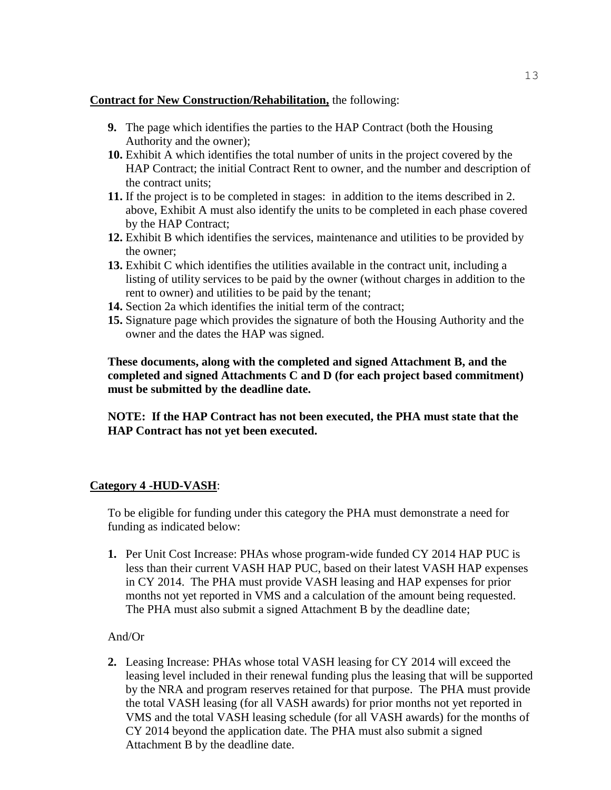### **Contract for New Construction/Rehabilitation,** the following:

- **9.** The page which identifies the parties to the HAP Contract (both the Housing Authority and the owner);
- **10.** Exhibit A which identifies the total number of units in the project covered by the HAP Contract; the initial Contract Rent to owner, and the number and description of the contract units;
- **11.** If the project is to be completed in stages: in addition to the items described in 2. above, Exhibit A must also identify the units to be completed in each phase covered by the HAP Contract;
- **12.** Exhibit B which identifies the services, maintenance and utilities to be provided by the owner;
- **13.** Exhibit C which identifies the utilities available in the contract unit, including a listing of utility services to be paid by the owner (without charges in addition to the rent to owner) and utilities to be paid by the tenant;
- **14.** Section 2a which identifies the initial term of the contract;
- **15.** Signature page which provides the signature of both the Housing Authority and the owner and the dates the HAP was signed.

**These documents, along with the completed and signed Attachment B, and the completed and signed Attachments C and D (for each project based commitment) must be submitted by the deadline date.**

**NOTE: If the HAP Contract has not been executed, the PHA must state that the HAP Contract has not yet been executed.** 

# **Category 4 -HUD-VASH**:

To be eligible for funding under this category the PHA must demonstrate a need for funding as indicated below:

**1.** Per Unit Cost Increase: PHAs whose program-wide funded CY 2014 HAP PUC is less than their current VASH HAP PUC, based on their latest VASH HAP expenses in CY 2014. The PHA must provide VASH leasing and HAP expenses for prior months not yet reported in VMS and a calculation of the amount being requested. The PHA must also submit a signed Attachment B by the deadline date;

# And/Or

**2.** Leasing Increase: PHAs whose total VASH leasing for CY 2014 will exceed the leasing level included in their renewal funding plus the leasing that will be supported by the NRA and program reserves retained for that purpose. The PHA must provide the total VASH leasing (for all VASH awards) for prior months not yet reported in VMS and the total VASH leasing schedule (for all VASH awards) for the months of CY 2014 beyond the application date. The PHA must also submit a signed Attachment B by the deadline date.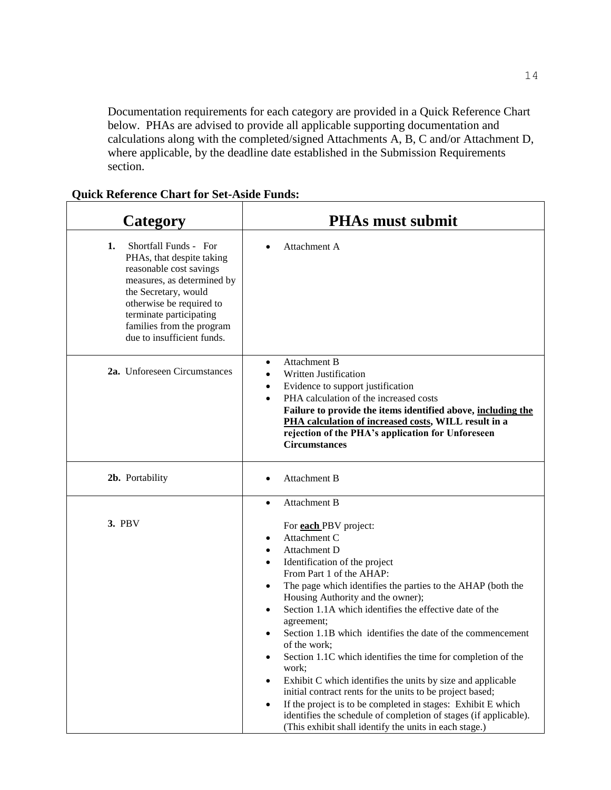Documentation requirements for each category are provided in a Quick Reference Chart below. PHAs are advised to provide all applicable supporting documentation and calculations along with the completed/signed Attachments A, B, C and/or Attachment D, where applicable, by the deadline date established in the Submission Requirements section.

### **Category PHAs must submit 1.** Shortfall Funds - For PHAs, that despite taking reasonable cost savings measures, as determined by the Secretary, would otherwise be required to terminate participating families from the program due to insufficient funds. Attachment A **2a.** Unforeseen Circumstances Attachment B Written Justification Evidence to support justification PHA calculation of the increased costs **Failure to provide the items identified above, including the PHA calculation of increased costs, WILL result in a rejection of the PHA's application for Unforeseen Circumstances 2b.** Portability **a Attachment B 3.** PBV Attachment B For **each** PBV project: Attachment C Attachment D Identification of the project From Part 1 of the AHAP: The page which identifies the parties to the AHAP (both the Housing Authority and the owner); Section 1.1A which identifies the effective date of the agreement; Section 1.1B which identifies the date of the commencement of the work; Section 1.1C which identifies the time for completion of the work; Exhibit C which identifies the units by size and applicable initial contract rents for the units to be project based; If the project is to be completed in stages: Exhibit E which identifies the schedule of completion of stages (if applicable).

(This exhibit shall identify the units in each stage.)

### **Quick Reference Chart for Set-Aside Funds:**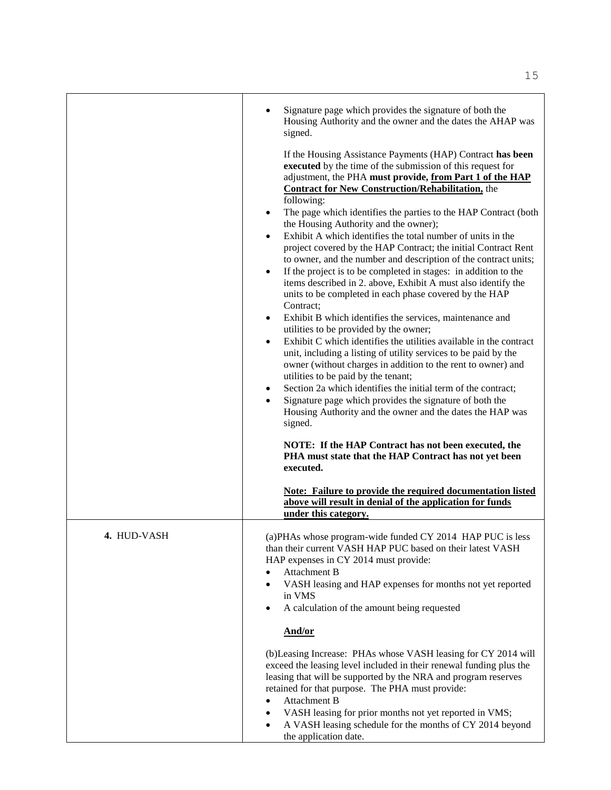|             | Signature page which provides the signature of both the<br>Housing Authority and the owner and the dates the AHAP was<br>signed.<br>If the Housing Assistance Payments (HAP) Contract has been<br>executed by the time of the submission of this request for<br>adjustment, the PHA must provide, from Part 1 of the HAP<br><b>Contract for New Construction/Rehabilitation, the</b><br>following:<br>The page which identifies the parties to the HAP Contract (both<br>the Housing Authority and the owner);<br>Exhibit A which identifies the total number of units in the<br>$\bullet$<br>project covered by the HAP Contract; the initial Contract Rent<br>to owner, and the number and description of the contract units;<br>If the project is to be completed in stages: in addition to the<br>$\bullet$<br>items described in 2. above, Exhibit A must also identify the<br>units to be completed in each phase covered by the HAP<br>Contract;<br>Exhibit B which identifies the services, maintenance and<br>$\bullet$<br>utilities to be provided by the owner;<br>Exhibit C which identifies the utilities available in the contract<br>$\bullet$<br>unit, including a listing of utility services to be paid by the<br>owner (without charges in addition to the rent to owner) and<br>utilities to be paid by the tenant;<br>Section 2a which identifies the initial term of the contract;<br>$\bullet$<br>Signature page which provides the signature of both the<br>Housing Authority and the owner and the dates the HAP was<br>signed.<br>NOTE: If the HAP Contract has not been executed, the<br>PHA must state that the HAP Contract has not yet been<br>executed. |
|-------------|----------------------------------------------------------------------------------------------------------------------------------------------------------------------------------------------------------------------------------------------------------------------------------------------------------------------------------------------------------------------------------------------------------------------------------------------------------------------------------------------------------------------------------------------------------------------------------------------------------------------------------------------------------------------------------------------------------------------------------------------------------------------------------------------------------------------------------------------------------------------------------------------------------------------------------------------------------------------------------------------------------------------------------------------------------------------------------------------------------------------------------------------------------------------------------------------------------------------------------------------------------------------------------------------------------------------------------------------------------------------------------------------------------------------------------------------------------------------------------------------------------------------------------------------------------------------------------------------------------------------------------------------------------------------------------------|
|             | <b>Note: Failure to provide the required documentation listed</b><br>above will result in denial of the application for funds<br>under this category.                                                                                                                                                                                                                                                                                                                                                                                                                                                                                                                                                                                                                                                                                                                                                                                                                                                                                                                                                                                                                                                                                                                                                                                                                                                                                                                                                                                                                                                                                                                                  |
| 4. HUD-VASH | (a)PHAs whose program-wide funded CY 2014 HAP PUC is less<br>than their current VASH HAP PUC based on their latest VASH<br>HAP expenses in CY 2014 must provide:<br>Attachment B<br>VASH leasing and HAP expenses for months not yet reported<br>in VMS<br>A calculation of the amount being requested<br>And/or                                                                                                                                                                                                                                                                                                                                                                                                                                                                                                                                                                                                                                                                                                                                                                                                                                                                                                                                                                                                                                                                                                                                                                                                                                                                                                                                                                       |
|             | (b) Leasing Increase: PHAs whose VASH leasing for CY 2014 will<br>exceed the leasing level included in their renewal funding plus the<br>leasing that will be supported by the NRA and program reserves<br>retained for that purpose. The PHA must provide:<br><b>Attachment B</b><br>VASH leasing for prior months not yet reported in VMS;<br>A VASH leasing schedule for the months of CY 2014 beyond<br>the application date.                                                                                                                                                                                                                                                                                                                                                                                                                                                                                                                                                                                                                                                                                                                                                                                                                                                                                                                                                                                                                                                                                                                                                                                                                                                      |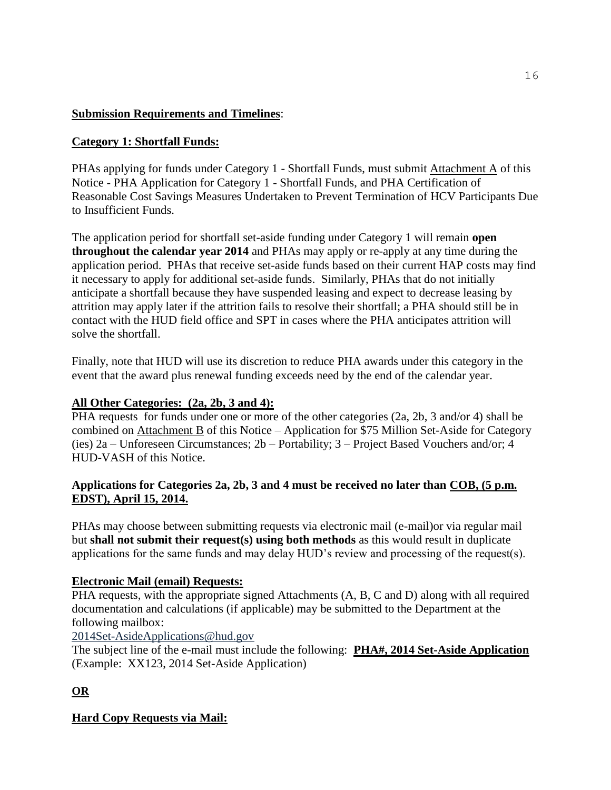# **Submission Requirements and Timelines**:

# **Category 1: Shortfall Funds:**

PHAs applying for funds under Category 1 - Shortfall Funds, must submit Attachment A of this Notice - PHA Application for Category 1 - Shortfall Funds, and PHA Certification of Reasonable Cost Savings Measures Undertaken to Prevent Termination of HCV Participants Due to Insufficient Funds.

The application period for shortfall set-aside funding under Category 1 will remain **open throughout the calendar year 2014** and PHAs may apply or re-apply at any time during the application period. PHAs that receive set-aside funds based on their current HAP costs may find it necessary to apply for additional set-aside funds. Similarly, PHAs that do not initially anticipate a shortfall because they have suspended leasing and expect to decrease leasing by attrition may apply later if the attrition fails to resolve their shortfall; a PHA should still be in contact with the HUD field office and SPT in cases where the PHA anticipates attrition will solve the shortfall.

Finally, note that HUD will use its discretion to reduce PHA awards under this category in the event that the award plus renewal funding exceeds need by the end of the calendar year.

# **All Other Categories: (2a, 2b, 3 and 4):**

PHA requests for funds under one or more of the other categories (2a, 2b, 3 and/or 4) shall be combined on Attachment B of this Notice – Application for \$75 Million Set-Aside for Category (ies) 2a – Unforeseen Circumstances; 2b – Portability; 3 – Project Based Vouchers and/or; 4 HUD-VASH of this Notice.

# **Applications for Categories 2a, 2b, 3 and 4 must be received no later than COB, (5 p.m. EDST), April 15, 2014.**

PHAs may choose between submitting requests via electronic mail (e-mail)or via regular mail but **shall not submit their request(s) using both methods** as this would result in duplicate applications for the same funds and may delay HUD's review and processing of the request(s).

# **Electronic Mail (email) Requests:**

PHA requests, with the appropriate signed Attachments (A, B, C and D) along with all required documentation and calculations (if applicable) may be submitted to the Department at the following mailbox:

2014Set-Asid[eApplications@hud.gov](mailto:Applications@hud.gov)

The subject line of the e-mail must include the following: **PHA#, 2014 Set-Aside Application** (Example: XX123, 2014 Set-Aside Application)

# **OR**

# **Hard Copy Requests via Mail:**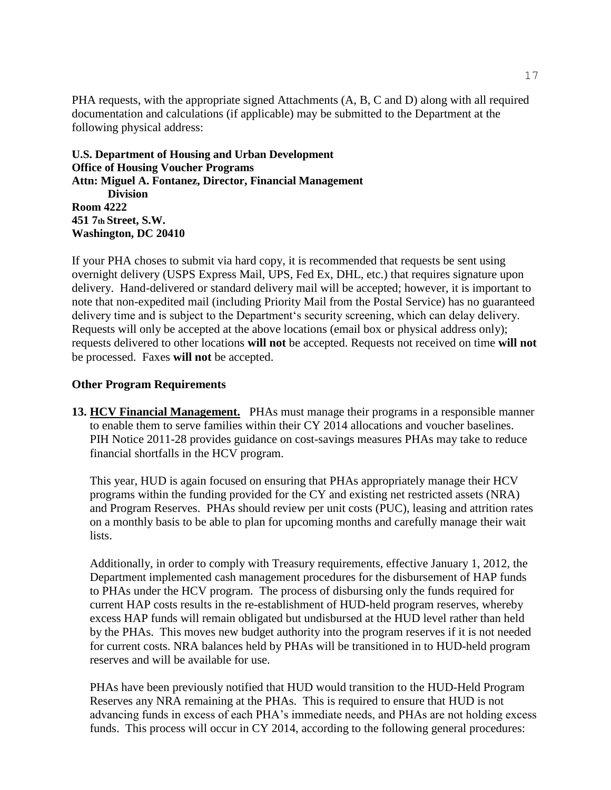PHA requests, with the appropriate signed Attachments (A, B, C and D) along with all required documentation and calculations (if applicable) may be submitted to the Department at the following physical address:

### **U.S. Department of Housing and Urban Development Office of Housing Voucher Programs Attn: Miguel A. Fontanez, Director, Financial Management Division Room 4222 451 7th Street, S.W. Washington, DC 20410**

If your PHA choses to submit via hard copy, it is recommended that requests be sent using overnight delivery (USPS Express Mail, UPS, Fed Ex, DHL, etc.) that requires signature upon delivery. Hand-delivered or standard delivery mail will be accepted; however, it is important to note that non-expedited mail (including Priority Mail from the Postal Service) has no guaranteed delivery time and is subject to the Department's security screening, which can delay delivery. Requests will only be accepted at the above locations (email box or physical address only); requests delivered to other locations **will not** be accepted. Requests not received on time **will not**  be processed. Faxes **will not** be accepted.

# **Other Program Requirements**

**13. HCV Financial Management.** PHAs must manage their programs in a responsible manner to enable them to serve families within their CY 2014 allocations and voucher baselines. PIH Notice 2011-28 provides guidance on cost-savings measures PHAs may take to reduce financial shortfalls in the HCV program.

This year, HUD is again focused on ensuring that PHAs appropriately manage their HCV programs within the funding provided for the CY and existing net restricted assets (NRA) and Program Reserves. PHAs should review per unit costs (PUC), leasing and attrition rates on a monthly basis to be able to plan for upcoming months and carefully manage their wait lists.

Additionally, in order to comply with Treasury requirements, effective January 1, 2012, the Department implemented cash management procedures for the disbursement of HAP funds to PHAs under the HCV program. The process of disbursing only the funds required for current HAP costs results in the re-establishment of HUD-held program reserves, whereby excess HAP funds will remain obligated but undisbursed at the HUD level rather than held by the PHAs. This moves new budget authority into the program reserves if it is not needed for current costs. NRA balances held by PHAs will be transitioned in to HUD-held program reserves and will be available for use.

PHAs have been previously notified that HUD would transition to the HUD-Held Program Reserves any NRA remaining at the PHAs. This is required to ensure that HUD is not advancing funds in excess of each PHA's immediate needs, and PHAs are not holding excess funds. This process will occur in CY 2014, according to the following general procedures: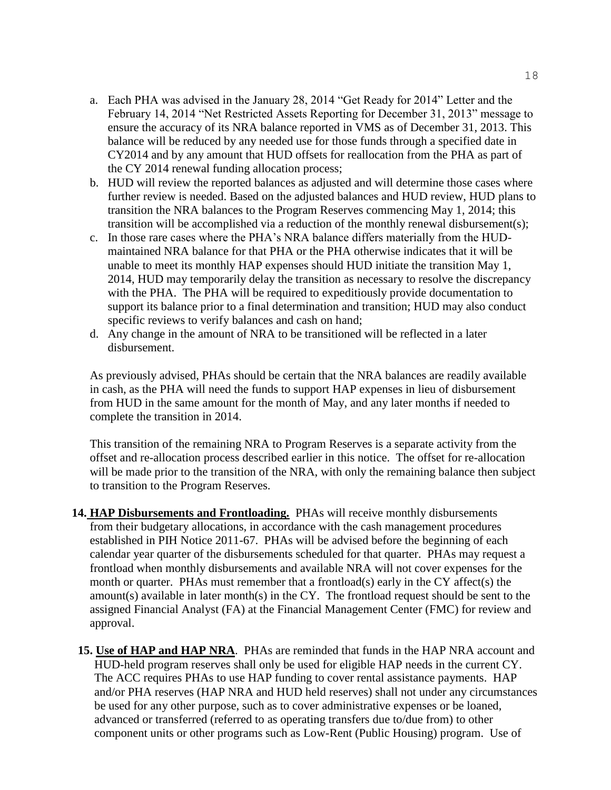- a. Each PHA was advised in the January 28, 2014 "Get Ready for 2014" Letter and the February 14, 2014 "Net Restricted Assets Reporting for December 31, 2013" message to ensure the accuracy of its NRA balance reported in VMS as of December 31, 2013. This balance will be reduced by any needed use for those funds through a specified date in CY2014 and by any amount that HUD offsets for reallocation from the PHA as part of the CY 2014 renewal funding allocation process;
- b. HUD will review the reported balances as adjusted and will determine those cases where further review is needed. Based on the adjusted balances and HUD review, HUD plans to transition the NRA balances to the Program Reserves commencing May 1, 2014; this transition will be accomplished via a reduction of the monthly renewal disbursement(s);
- c. In those rare cases where the PHA's NRA balance differs materially from the HUDmaintained NRA balance for that PHA or the PHA otherwise indicates that it will be unable to meet its monthly HAP expenses should HUD initiate the transition May 1, 2014, HUD may temporarily delay the transition as necessary to resolve the discrepancy with the PHA. The PHA will be required to expeditiously provide documentation to support its balance prior to a final determination and transition; HUD may also conduct specific reviews to verify balances and cash on hand;
- d. Any change in the amount of NRA to be transitioned will be reflected in a later disbursement.

As previously advised, PHAs should be certain that the NRA balances are readily available in cash, as the PHA will need the funds to support HAP expenses in lieu of disbursement from HUD in the same amount for the month of May, and any later months if needed to complete the transition in 2014.

This transition of the remaining NRA to Program Reserves is a separate activity from the offset and re-allocation process described earlier in this notice. The offset for re-allocation will be made prior to the transition of the NRA, with only the remaining balance then subject to transition to the Program Reserves.

- **14. HAP Disbursements and Frontloading.** PHAs will receive monthly disbursements from their budgetary allocations, in accordance with the cash management procedures established in PIH Notice 2011-67. PHAs will be advised before the beginning of each calendar year quarter of the disbursements scheduled for that quarter. PHAs may request a frontload when monthly disbursements and available NRA will not cover expenses for the month or quarter. PHAs must remember that a frontload(s) early in the CY affect(s) the amount(s) available in later month(s) in the CY. The frontload request should be sent to the assigned Financial Analyst (FA) at the Financial Management Center (FMC) for review and approval.
- **15. Use of HAP and HAP NRA**.PHAs are reminded that funds in the HAP NRA account and HUD-held program reserves shall only be used for eligible HAP needs in the current CY. The ACC requires PHAs to use HAP funding to cover rental assistance payments. HAP and/or PHA reserves (HAP NRA and HUD held reserves) shall not under any circumstances be used for any other purpose, such as to cover administrative expenses or be loaned, advanced or transferred (referred to as operating transfers due to/due from) to other component units or other programs such as Low-Rent (Public Housing) program. Use of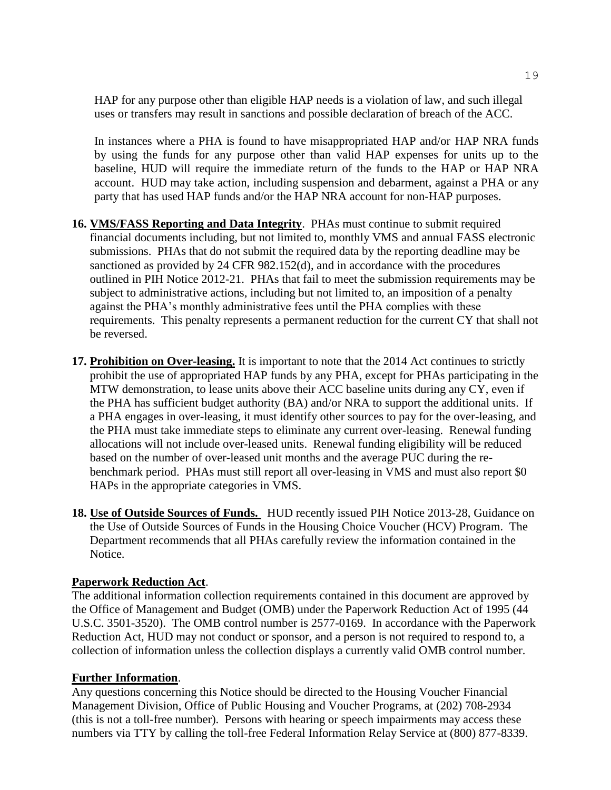HAP for any purpose other than eligible HAP needs is a violation of law, and such illegal uses or transfers may result in sanctions and possible declaration of breach of the ACC.

In instances where a PHA is found to have misappropriated HAP and/or HAP NRA funds by using the funds for any purpose other than valid HAP expenses for units up to the baseline, HUD will require the immediate return of the funds to the HAP or HAP NRA account. HUD may take action, including suspension and debarment, against a PHA or any party that has used HAP funds and/or the HAP NRA account for non-HAP purposes.

- **16. VMS/FASS Reporting and Data Integrity**. PHAs must continue to submit required financial documents including, but not limited to, monthly VMS and annual FASS electronic submissions. PHAs that do not submit the required data by the reporting deadline may be sanctioned as provided by 24 CFR 982.152(d), and in accordance with the procedures outlined in PIH Notice 2012-21. PHAs that fail to meet the submission requirements may be subject to administrative actions, including but not limited to, an imposition of a penalty against the PHA's monthly administrative fees until the PHA complies with these requirements. This penalty represents a permanent reduction for the current CY that shall not be reversed.
- **17. Prohibition on Over-leasing.** It is important to note that the 2014 Act continues to strictly prohibit the use of appropriated HAP funds by any PHA, except for PHAs participating in the MTW demonstration, to lease units above their ACC baseline units during any CY, even if the PHA has sufficient budget authority (BA) and/or NRA to support the additional units. If a PHA engages in over-leasing, it must identify other sources to pay for the over-leasing, and the PHA must take immediate steps to eliminate any current over-leasing. Renewal funding allocations will not include over-leased units. Renewal funding eligibility will be reduced based on the number of over-leased unit months and the average PUC during the rebenchmark period. PHAs must still report all over-leasing in VMS and must also report \$0 HAPs in the appropriate categories in VMS.
- **18. Use of Outside Sources of Funds.** HUD recently issued PIH Notice 2013-28, Guidance on the Use of Outside Sources of Funds in the Housing Choice Voucher (HCV) Program. The Department recommends that all PHAs carefully review the information contained in the Notice.

### **Paperwork Reduction Act**.

The additional information collection requirements contained in this document are approved by the Office of Management and Budget (OMB) under the Paperwork Reduction Act of 1995 (44 U.S.C. 3501-3520). The OMB control number is 2577-0169. In accordance with the Paperwork Reduction Act, HUD may not conduct or sponsor, and a person is not required to respond to, a collection of information unless the collection displays a currently valid OMB control number.

#### **Further Information**.

Any questions concerning this Notice should be directed to the Housing Voucher Financial Management Division, Office of Public Housing and Voucher Programs, at (202) 708-2934 (this is not a toll-free number). Persons with hearing or speech impairments may access these numbers via TTY by calling the toll-free Federal Information Relay Service at (800) 877-8339.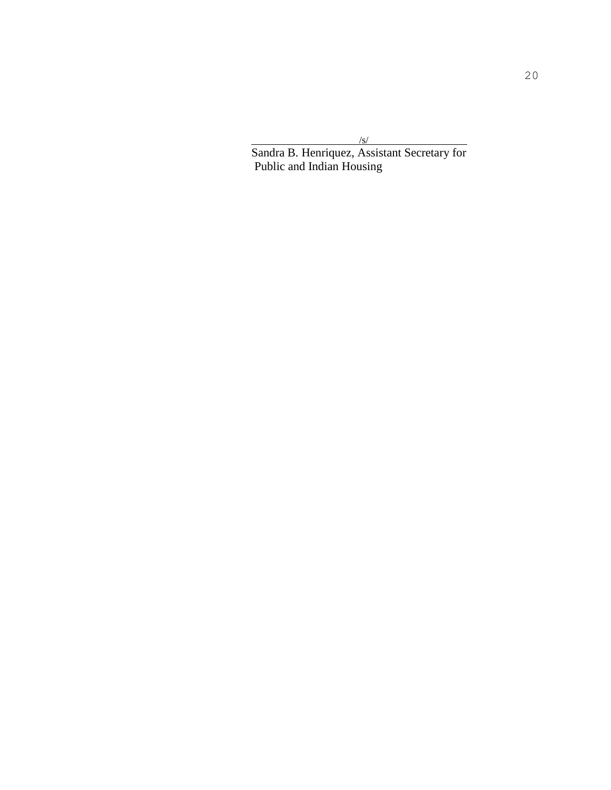/s/ Sandra B. Henriquez, Assistant Secretary for Public and Indian Housing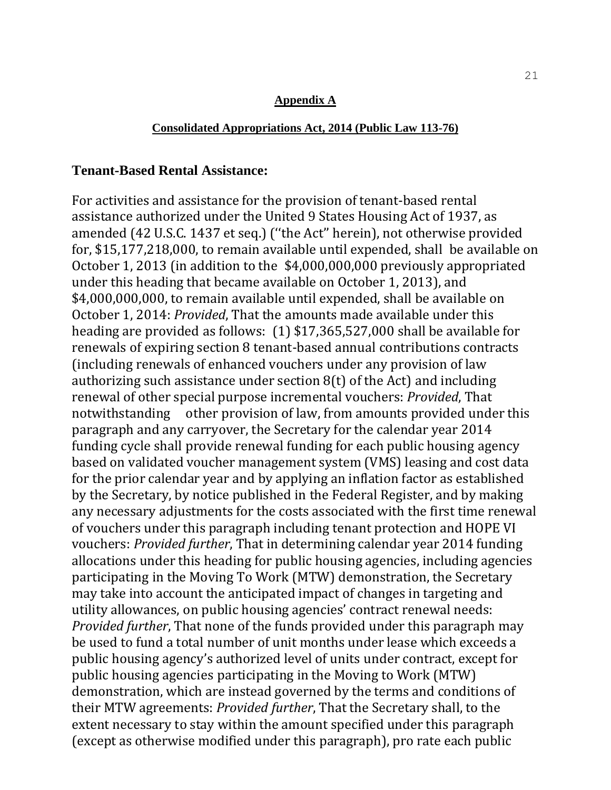#### **Appendix A**

### **Consolidated Appropriations Act, 2014 (Public Law 113-76)**

# **Tenant-Based Rental Assistance:**

For activities and assistance for the provision of tenant-based rental assistance authorized under the United 9 States Housing Act of 1937, as amended (42 U.S.C. 1437 et seq.) (''the Act'' herein), not otherwise provided for, \$15,177,218,000, to remain available until expended, shall be available on October 1, 2013 (in addition to the \$4,000,000,000 previously appropriated under this heading that became available on October 1, 2013), and \$4,000,000,000, to remain available until expended, shall be available on October 1, 2014: *Provided*, That the amounts made available under this heading are provided as follows: (1) \$17,365,527,000 shall be available for renewals of expiring section 8 tenant-based annual contributions contracts (including renewals of enhanced vouchers under any provision of law authorizing such assistance under section 8(t) of the Act) and including renewal of other special purpose incremental vouchers: *Provided*, That notwithstanding other provision of law, from amounts provided under this paragraph and any carryover, the Secretary for the calendar year 2014 funding cycle shall provide renewal funding for each public housing agency based on validated voucher management system (VMS) leasing and cost data for the prior calendar year and by applying an inflation factor as established by the Secretary, by notice published in the Federal Register, and by making any necessary adjustments for the costs associated with the first time renewal of vouchers under this paragraph including tenant protection and HOPE VI vouchers: *Provided further*, That in determining calendar year 2014 funding allocations under this heading for public housing agencies, including agencies participating in the Moving To Work (MTW) demonstration, the Secretary may take into account the anticipated impact of changes in targeting and utility allowances, on public housing agencies' contract renewal needs: *Provided further*, That none of the funds provided under this paragraph may be used to fund a total number of unit months under lease which exceeds a public housing agency's authorized level of units under contract, except for public housing agencies participating in the Moving to Work (MTW) demonstration, which are instead governed by the terms and conditions of their MTW agreements: *Provided further*, That the Secretary shall, to the extent necessary to stay within the amount specified under this paragraph (except as otherwise modified under this paragraph), pro rate each public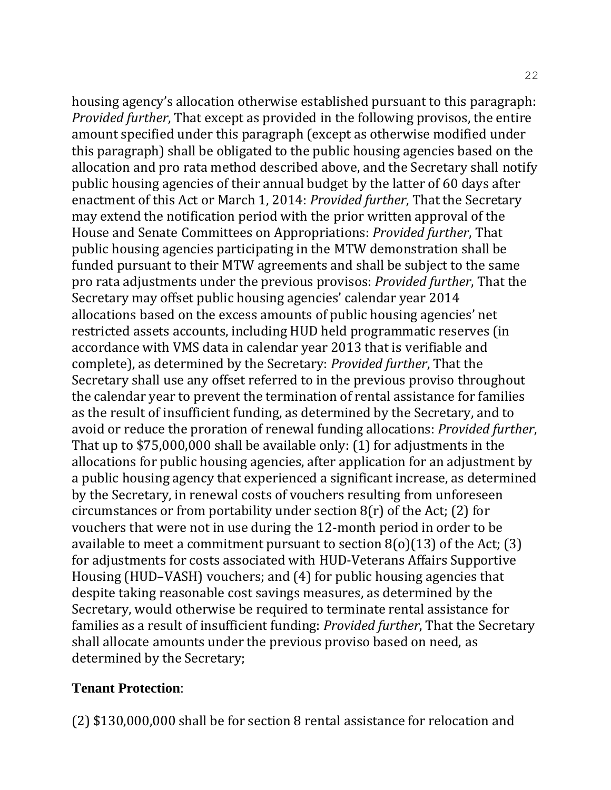housing agency's allocation otherwise established pursuant to this paragraph: *Provided further*, That except as provided in the following provisos, the entire amount specified under this paragraph (except as otherwise modified under this paragraph) shall be obligated to the public housing agencies based on the allocation and pro rata method described above, and the Secretary shall notify public housing agencies of their annual budget by the latter of 60 days after enactment of this Act or March 1, 2014: *Provided further*, That the Secretary may extend the notification period with the prior written approval of the House and Senate Committees on Appropriations: *Provided further*, That public housing agencies participating in the MTW demonstration shall be funded pursuant to their MTW agreements and shall be subject to the same pro rata adjustments under the previous provisos: *Provided further*, That the Secretary may offset public housing agencies' calendar year 2014 allocations based on the excess amounts of public housing agencies' net restricted assets accounts, including HUD held programmatic reserves (in accordance with VMS data in calendar year 2013 that is verifiable and complete), as determined by the Secretary: *Provided further*, That the Secretary shall use any offset referred to in the previous proviso throughout the calendar year to prevent the termination of rental assistance for families as the result of insufficient funding, as determined by the Secretary, and to avoid or reduce the proration of renewal funding allocations: *Provided further*, That up to \$75,000,000 shall be available only: (1) for adjustments in the allocations for public housing agencies, after application for an adjustment by a public housing agency that experienced a significant increase, as determined by the Secretary, in renewal costs of vouchers resulting from unforeseen circumstances or from portability under section  $8(r)$  of the Act; (2) for vouchers that were not in use during the 12-month period in order to be available to meet a commitment pursuant to section  $8(0)(13)$  of the Act; (3) for adjustments for costs associated with HUD-Veterans Affairs Supportive Housing (HUD–VASH) vouchers; and (4) for public housing agencies that despite taking reasonable cost savings measures, as determined by the Secretary, would otherwise be required to terminate rental assistance for families as a result of insufficient funding: *Provided further*, That the Secretary shall allocate amounts under the previous proviso based on need, as determined by the Secretary;

# **Tenant Protection**:

(2) \$130,000,000 shall be for section 8 rental assistance for relocation and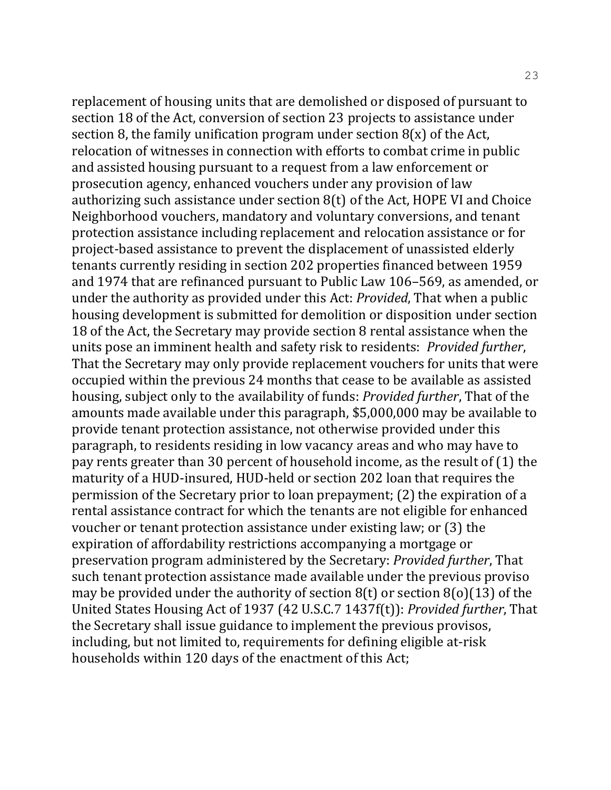replacement of housing units that are demolished or disposed of pursuant to section 18 of the Act, conversion of section 23 projects to assistance under section 8, the family unification program under section  $8(x)$  of the Act, relocation of witnesses in connection with efforts to combat crime in public and assisted housing pursuant to a request from a law enforcement or prosecution agency, enhanced vouchers under any provision of law authorizing such assistance under section 8(t) of the Act, HOPE VI and Choice Neighborhood vouchers, mandatory and voluntary conversions, and tenant protection assistance including replacement and relocation assistance or for project-based assistance to prevent the displacement of unassisted elderly tenants currently residing in section 202 properties financed between 1959 and 1974 that are refinanced pursuant to Public Law 106–569, as amended, or under the authority as provided under this Act: *Provided*, That when a public housing development is submitted for demolition or disposition under section 18 of the Act, the Secretary may provide section 8 rental assistance when the units pose an imminent health and safety risk to residents: *Provided further*, That the Secretary may only provide replacement vouchers for units that were occupied within the previous 24 months that cease to be available as assisted housing, subject only to the availability of funds: *Provided further*, That of the amounts made available under this paragraph, \$5,000,000 may be available to provide tenant protection assistance, not otherwise provided under this paragraph, to residents residing in low vacancy areas and who may have to pay rents greater than 30 percent of household income, as the result of (1) the maturity of a HUD-insured, HUD-held or section 202 loan that requires the permission of the Secretary prior to loan prepayment; (2) the expiration of a rental assistance contract for which the tenants are not eligible for enhanced voucher or tenant protection assistance under existing law; or (3) the expiration of affordability restrictions accompanying a mortgage or preservation program administered by the Secretary: *Provided further*, That such tenant protection assistance made available under the previous proviso may be provided under the authority of section  $8(t)$  or section  $8(0)(13)$  of the United States Housing Act of 1937 (42 U.S.C.7 1437f(t)): *Provided further*, That the Secretary shall issue guidance to implement the previous provisos, including, but not limited to, requirements for defining eligible at-risk households within 120 days of the enactment of this Act;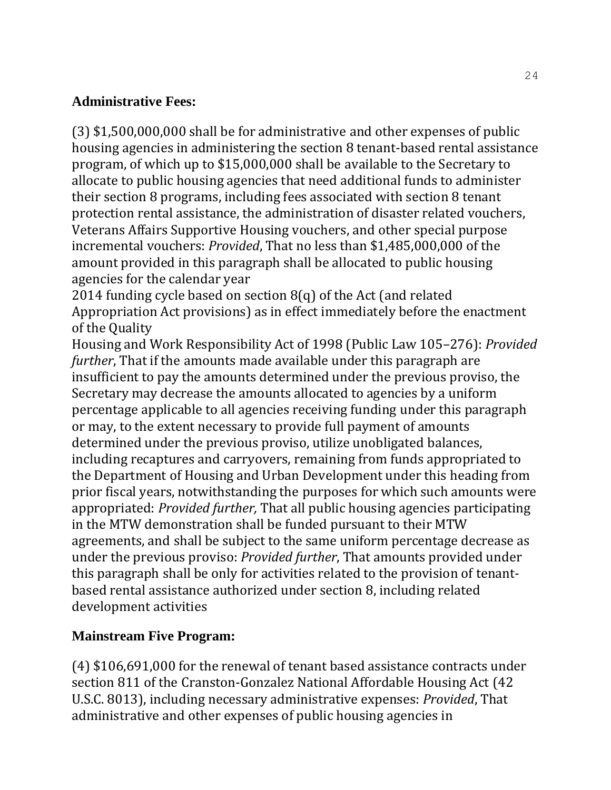# **Administrative Fees:**

(3) \$1,500,000,000 shall be for administrative and other expenses of public housing agencies in administering the section 8 tenant-based rental assistance program, of which up to \$15,000,000 shall be available to the Secretary to allocate to public housing agencies that need additional funds to administer their section 8 programs, including fees associated with section 8 tenant protection rental assistance, the administration of disaster related vouchers, Veterans Affairs Supportive Housing vouchers, and other special purpose incremental vouchers: *Provided*, That no less than \$1,485,000,000 of the amount provided in this paragraph shall be allocated to public housing agencies for the calendar year

2014 funding cycle based on section 8(q) of the Act (and related Appropriation Act provisions) as in effect immediately before the enactment of the Quality

Housing and Work Responsibility Act of 1998 (Public Law 105–276): *Provided further*, That if the amounts made available under this paragraph are insufficient to pay the amounts determined under the previous proviso, the Secretary may decrease the amounts allocated to agencies by a uniform percentage applicable to all agencies receiving funding under this paragraph or may, to the extent necessary to provide full payment of amounts determined under the previous proviso, utilize unobligated balances, including recaptures and carryovers, remaining from funds appropriated to the Department of Housing and Urban Development under this heading from prior fiscal years, notwithstanding the purposes for which such amounts were appropriated: *Provided further,* That all public housing agencies participating in the MTW demonstration shall be funded pursuant to their MTW agreements, and shall be subject to the same uniform percentage decrease as under the previous proviso: *Provided further*, That amounts provided under this paragraph shall be only for activities related to the provision of tenantbased rental assistance authorized under section 8, including related development activities

# **Mainstream Five Program:**

(4) \$106,691,000 for the renewal of tenant based assistance contracts under section 811 of the Cranston-Gonzalez National Affordable Housing Act (42 U.S.C. 8013), including necessary administrative expenses: *Provided*, That administrative and other expenses of public housing agencies in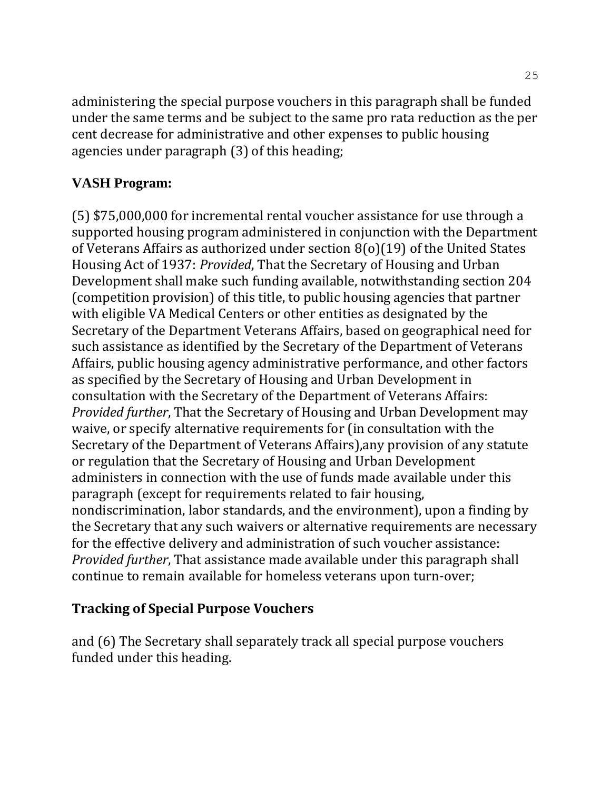administering the special purpose vouchers in this paragraph shall be funded under the same terms and be subject to the same pro rata reduction as the per cent decrease for administrative and other expenses to public housing agencies under paragraph (3) of this heading;

# **VASH Program:**

(5) \$75,000,000 for incremental rental voucher assistance for use through a supported housing program administered in conjunction with the Department of Veterans Affairs as authorized under section 8(o)(19) of the United States Housing Act of 1937: *Provided*, That the Secretary of Housing and Urban Development shall make such funding available, notwithstanding section 204 (competition provision) of this title, to public housing agencies that partner with eligible VA Medical Centers or other entities as designated by the Secretary of the Department Veterans Affairs, based on geographical need for such assistance as identified by the Secretary of the Department of Veterans Affairs, public housing agency administrative performance, and other factors as specified by the Secretary of Housing and Urban Development in consultation with the Secretary of the Department of Veterans Affairs: *Provided further*, That the Secretary of Housing and Urban Development may waive, or specify alternative requirements for (in consultation with the Secretary of the Department of Veterans Affairs),any provision of any statute or regulation that the Secretary of Housing and Urban Development administers in connection with the use of funds made available under this paragraph (except for requirements related to fair housing, nondiscrimination, labor standards, and the environment), upon a finding by the Secretary that any such waivers or alternative requirements are necessary for the effective delivery and administration of such voucher assistance: *Provided further*, That assistance made available under this paragraph shall continue to remain available for homeless veterans upon turn-over;

# **Tracking of Special Purpose Vouchers**

and (6) The Secretary shall separately track all special purpose vouchers funded under this heading.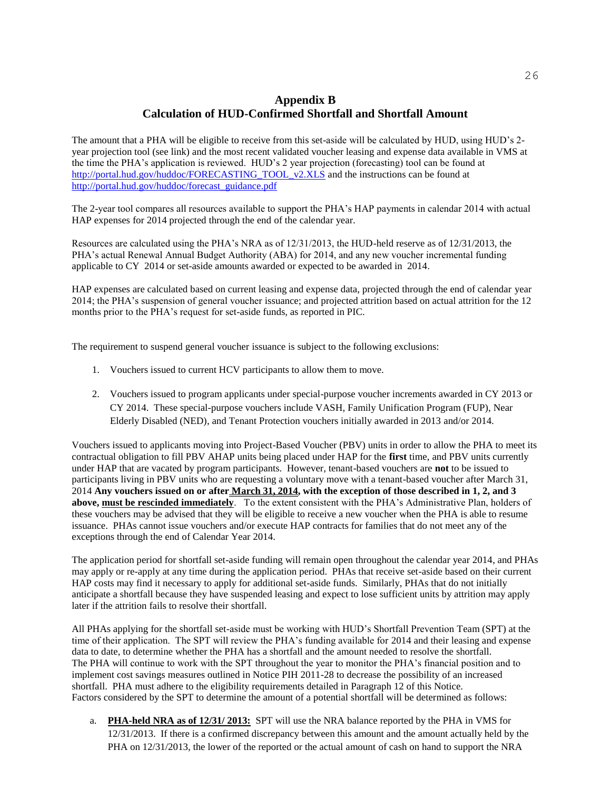# **Appendix B Calculation of HUD-Confirmed Shortfall and Shortfall Amount**

The amount that a PHA will be eligible to receive from this set-aside will be calculated by HUD, using HUD's 2 year projection tool (see link) and the most recent validated voucher leasing and expense data available in VMS at the time the PHA's application is reviewed. HUD's 2 year projection (forecasting) tool can be found at [http://portal.hud.gov/huddoc/FORECASTING\\_TOOL\\_v2.XLS](http://portal.hud.gov/huddoc/FORECASTING_TOOL_v2.XLS) and the instructions can be found at [http://portal.hud.gov/huddoc/forecast\\_guidance.pdf](http://portal.hud.gov/huddoc/forecast_guidance.pdf)

The 2-year tool compares all resources available to support the PHA's HAP payments in calendar 2014 with actual HAP expenses for 2014 projected through the end of the calendar year.

Resources are calculated using the PHA's NRA as of 12/31/2013, the HUD-held reserve as of 12/31/2013, the PHA's actual Renewal Annual Budget Authority (ABA) for 2014, and any new voucher incremental funding applicable to CY 2014 or set-aside amounts awarded or expected to be awarded in 2014.

HAP expenses are calculated based on current leasing and expense data, projected through the end of calendar year 2014; the PHA's suspension of general voucher issuance; and projected attrition based on actual attrition for the 12 months prior to the PHA's request for set-aside funds, as reported in PIC.

The requirement to suspend general voucher issuance is subject to the following exclusions:

- 1. Vouchers issued to current HCV participants to allow them to move.
- 2. Vouchers issued to program applicants under special-purpose voucher increments awarded in CY 2013 or CY 2014. These special-purpose vouchers include VASH, Family Unification Program (FUP), Near Elderly Disabled (NED), and Tenant Protection vouchers initially awarded in 2013 and/or 2014.

Vouchers issued to applicants moving into Project-Based Voucher (PBV) units in order to allow the PHA to meet its contractual obligation to fill PBV AHAP units being placed under HAP for the **first** time, and PBV units currently under HAP that are vacated by program participants. However, tenant-based vouchers are **not** to be issued to participants living in PBV units who are requesting a voluntary move with a tenant-based voucher after March 31, 2014 **Any vouchers issued on or after March 31, 2014, with the exception of those described in 1, 2, and 3 above, must be rescinded immediately**. To the extent consistent with the PHA's Administrative Plan, holders of these vouchers may be advised that they will be eligible to receive a new voucher when the PHA is able to resume issuance. PHAs cannot issue vouchers and/or execute HAP contracts for families that do not meet any of the exceptions through the end of Calendar Year 2014.

The application period for shortfall set-aside funding will remain open throughout the calendar year 2014, and PHAs may apply or re-apply at any time during the application period. PHAs that receive set-aside based on their current HAP costs may find it necessary to apply for additional set-aside funds. Similarly, PHAs that do not initially anticipate a shortfall because they have suspended leasing and expect to lose sufficient units by attrition may apply later if the attrition fails to resolve their shortfall.

All PHAs applying for the shortfall set-aside must be working with HUD's Shortfall Prevention Team (SPT) at the time of their application. The SPT will review the PHA's funding available for 2014 and their leasing and expense data to date, to determine whether the PHA has a shortfall and the amount needed to resolve the shortfall. The PHA will continue to work with the SPT throughout the year to monitor the PHA's financial position and to implement cost savings measures outlined in Notice PIH 2011-28 to decrease the possibility of an increased shortfall. PHA must adhere to the eligibility requirements detailed in Paragraph 12 of this Notice. Factors considered by the SPT to determine the amount of a potential shortfall will be determined as follows:

a. **PHA-held NRA as of 12/31/ 2013:** SPT will use the NRA balance reported by the PHA in VMS for 12/31/2013. If there is a confirmed discrepancy between this amount and the amount actually held by the PHA on  $12/31/2013$ , the lower of the reported or the actual amount of cash on hand to support the NRA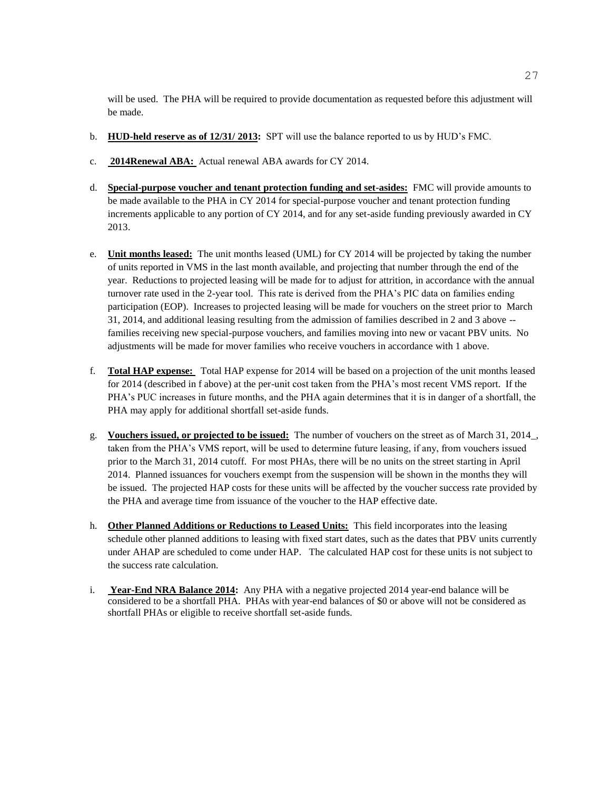will be used. The PHA will be required to provide documentation as requested before this adjustment will be made.

- b. **HUD-held reserve as of 12/31/ 2013:** SPT will use the balance reported to us by HUD's FMC.
- c. **2014Renewal ABA:** Actual renewal ABA awards for CY 2014.
- d. **Special-purpose voucher and tenant protection funding and set-asides:** FMC will provide amounts to be made available to the PHA in CY 2014 for special-purpose voucher and tenant protection funding increments applicable to any portion of CY 2014, and for any set-aside funding previously awarded in CY 2013.
- e. **Unit months leased:** The unit months leased (UML) for CY 2014 will be projected by taking the number of units reported in VMS in the last month available, and projecting that number through the end of the year. Reductions to projected leasing will be made for to adjust for attrition, in accordance with the annual turnover rate used in the 2-year tool. This rate is derived from the PHA's PIC data on families ending participation (EOP). Increases to projected leasing will be made for vouchers on the street prior to March 31, 2014, and additional leasing resulting from the admission of families described in 2 and 3 above - families receiving new special-purpose vouchers, and families moving into new or vacant PBV units. No adjustments will be made for mover families who receive vouchers in accordance with 1 above.
- f. **Total HAP expense:** Total HAP expense for 2014 will be based on a projection of the unit months leased for 2014 (described in f above) at the per-unit cost taken from the PHA's most recent VMS report. If the PHA's PUC increases in future months, and the PHA again determines that it is in danger of a shortfall, the PHA may apply for additional shortfall set-aside funds.
- g. **Vouchers issued, or projected to be issued:** The number of vouchers on the street as of March 31, 2014\_, taken from the PHA's VMS report, will be used to determine future leasing, if any, from vouchers issued prior to the March 31, 2014 cutoff. For most PHAs, there will be no units on the street starting in April 2014. Planned issuances for vouchers exempt from the suspension will be shown in the months they will be issued. The projected HAP costs for these units will be affected by the voucher success rate provided by the PHA and average time from issuance of the voucher to the HAP effective date.
- h. **Other Planned Additions or Reductions to Leased Units:** This field incorporates into the leasing schedule other planned additions to leasing with fixed start dates, such as the dates that PBV units currently under AHAP are scheduled to come under HAP. The calculated HAP cost for these units is not subject to the success rate calculation.
- i. **Year-End NRA Balance 2014:** Any PHA with a negative projected 2014 year-end balance will be considered to be a shortfall PHA. PHAs with year-end balances of \$0 or above will not be considered as shortfall PHAs or eligible to receive shortfall set-aside funds.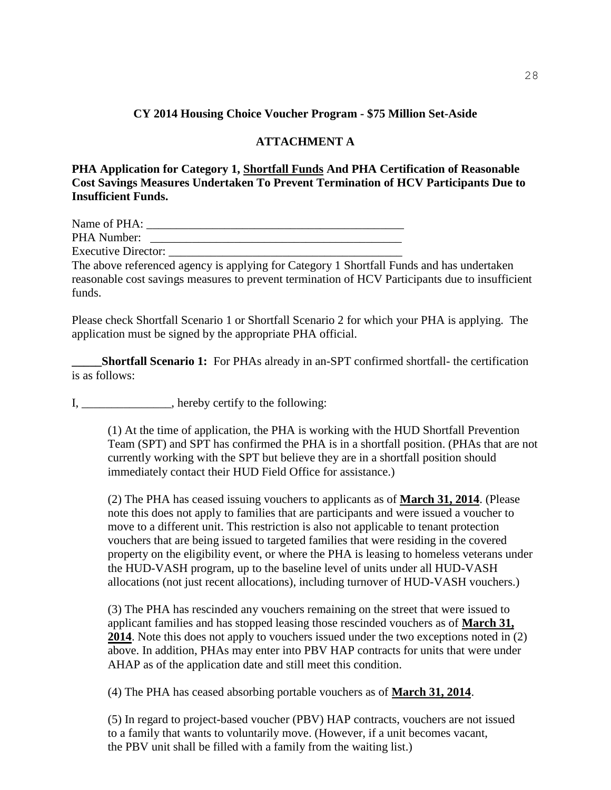### **CY 2014 Housing Choice Voucher Program - \$75 Million Set-Aside**

### **ATTACHMENT A**

**PHA Application for Category 1, Shortfall Funds And PHA Certification of Reasonable Cost Savings Measures Undertaken To Prevent Termination of HCV Participants Due to Insufficient Funds.**

| Name of PHA:               |  |
|----------------------------|--|
| PHA Number:                |  |
| <b>Executive Director:</b> |  |

The above referenced agency is applying for Category 1 Shortfall Funds and has undertaken reasonable cost savings measures to prevent termination of HCV Participants due to insufficient funds.

Please check Shortfall Scenario 1 or Shortfall Scenario 2 for which your PHA is applying. The application must be signed by the appropriate PHA official.

**Shortfall Scenario 1:** For PHAs already in an-SPT confirmed shortfall- the certification is as follows:

I, \_\_\_\_\_\_\_\_\_\_\_\_\_\_, hereby certify to the following:

(1) At the time of application, the PHA is working with the HUD Shortfall Prevention Team (SPT) and SPT has confirmed the PHA is in a shortfall position. (PHAs that are not currently working with the SPT but believe they are in a shortfall position should immediately contact their HUD Field Office for assistance.)

(2) The PHA has ceased issuing vouchers to applicants as of **March 31, 2014**. (Please note this does not apply to families that are participants and were issued a voucher to move to a different unit. This restriction is also not applicable to tenant protection vouchers that are being issued to targeted families that were residing in the covered property on the eligibility event, or where the PHA is leasing to homeless veterans under the HUD-VASH program, up to the baseline level of units under all HUD-VASH allocations (not just recent allocations), including turnover of HUD-VASH vouchers.)

(3) The PHA has rescinded any vouchers remaining on the street that were issued to applicant families and has stopped leasing those rescinded vouchers as of **March 31, 2014**. Note this does not apply to vouchers issued under the two exceptions noted in (2) above. In addition, PHAs may enter into PBV HAP contracts for units that were under AHAP as of the application date and still meet this condition.

(4) The PHA has ceased absorbing portable vouchers as of **March 31, 2014**.

(5) In regard to project-based voucher (PBV) HAP contracts, vouchers are not issued to a family that wants to voluntarily move. (However, if a unit becomes vacant, the PBV unit shall be filled with a family from the waiting list.)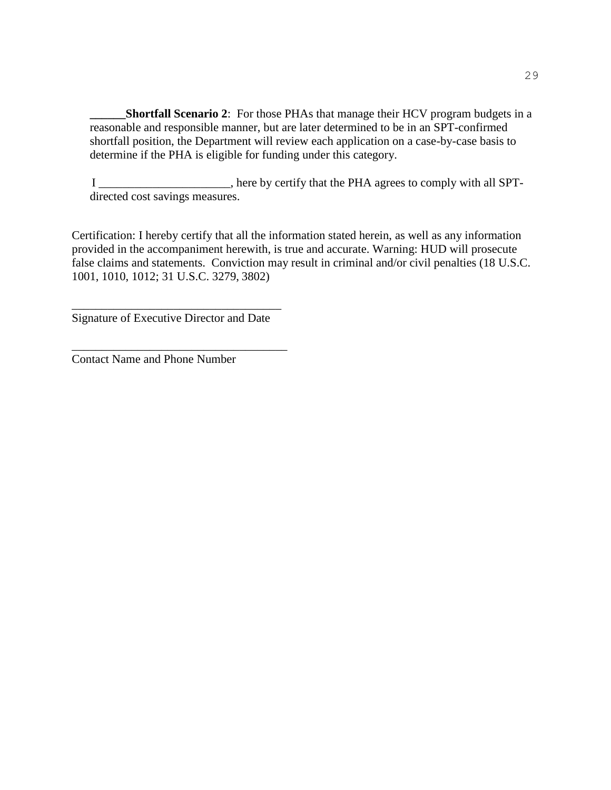**Shortfall Scenario 2:** For those PHAs that manage their HCV program budgets in a reasonable and responsible manner, but are later determined to be in an SPT-confirmed shortfall position, the Department will review each application on a case-by-case basis to determine if the PHA is eligible for funding under this category.

I \_\_\_\_\_\_\_\_\_\_\_\_\_\_\_\_\_\_\_\_\_\_, here by certify that the PHA agrees to comply with all SPTdirected cost savings measures.

Certification: I hereby certify that all the information stated herein, as well as any information provided in the accompaniment herewith, is true and accurate. Warning: HUD will prosecute false claims and statements. Conviction may result in criminal and/or civil penalties (18 U.S.C. 1001, 1010, 1012; 31 U.S.C. 3279, 3802)

\_\_\_\_\_\_\_\_\_\_\_\_\_\_\_\_\_\_\_\_\_\_\_\_\_\_\_\_\_\_\_\_\_\_\_ Signature of Executive Director and Date

\_\_\_\_\_\_\_\_\_\_\_\_\_\_\_\_\_\_\_\_\_\_\_\_\_\_\_\_\_\_\_\_\_\_\_\_

Contact Name and Phone Number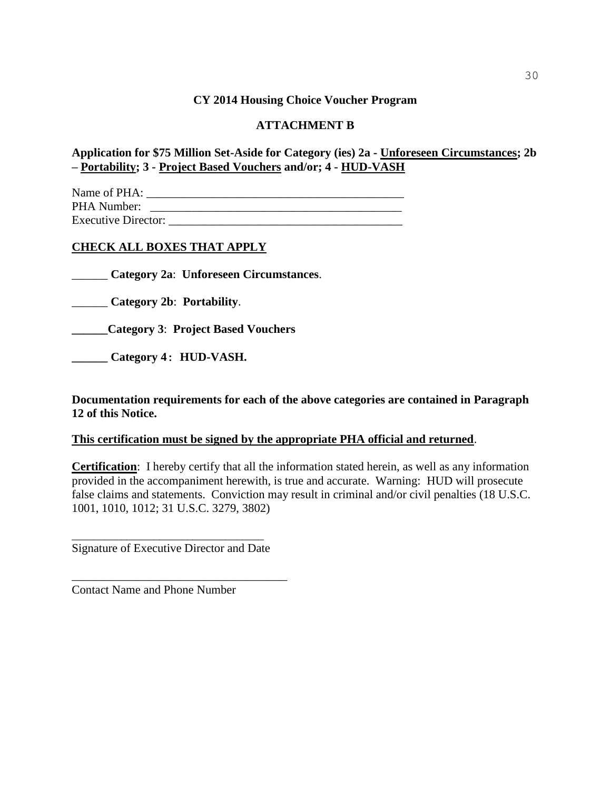### **CY 2014 Housing Choice Voucher Program**

### **ATTACHMENT B**

**Application for \$75 Million Set-Aside for Category (ies) 2a - Unforeseen Circumstances; 2b – Portability; 3 - Project Based Vouchers and/or; 4 - HUD-VASH**

Name of PHA: \_\_\_\_\_\_\_\_\_\_\_\_\_\_\_\_\_\_\_\_\_\_\_\_\_\_\_\_\_\_\_\_\_\_\_\_\_\_\_\_\_\_\_ PHA Number: \_\_\_\_\_\_\_\_\_\_\_\_\_\_\_\_\_\_\_\_\_\_\_\_\_\_\_\_\_\_\_\_\_\_\_\_\_\_\_\_\_\_ Executive Director:

### **CHECK ALL BOXES THAT APPLY**

\_\_\_\_\_\_ **Category 2a**: **Unforeseen Circumstances**.

\_\_\_\_\_\_ **Category 2b**: **Portability**.

**\_\_\_\_\_\_Category 3**: **Project Based Vouchers**

**\_\_\_\_\_\_ Category 4: HUD-VASH.**

**Documentation requirements for each of the above categories are contained in Paragraph 12 of this Notice.** 

### **This certification must be signed by the appropriate PHA official and returned**.

**Certification**: I hereby certify that all the information stated herein, as well as any information provided in the accompaniment herewith, is true and accurate. Warning: HUD will prosecute false claims and statements. Conviction may result in criminal and/or civil penalties (18 U.S.C. 1001, 1010, 1012; 31 U.S.C. 3279, 3802)

\_\_\_\_\_\_\_\_\_\_\_\_\_\_\_\_\_\_\_\_\_\_\_\_\_\_\_\_\_\_\_\_\_\_\_ Signature of Executive Director and Date

\_\_\_\_\_\_\_\_\_\_\_\_\_\_\_\_\_\_\_\_\_\_\_\_\_\_\_\_\_\_\_\_\_\_\_\_

Contact Name and Phone Number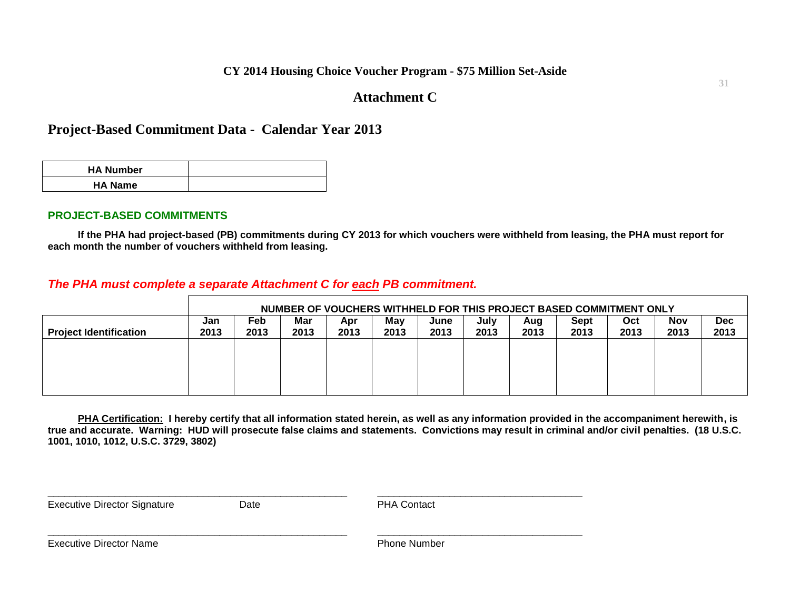### **CY 2014 Housing Choice Voucher Program - \$75 Million Set-Aside**

# **Attachment C**

# **Project-Based Commitment Data - Calendar Year 2013**

| <b>HA Number</b> |  |
|------------------|--|
| <b>HA Name</b>   |  |

#### **PROJECT-BASED COMMITMENTS**

**If the PHA had project-based (PB) commitments during CY 2013 for which vouchers were withheld from leasing, the PHA must report for each month the number of vouchers withheld from leasing.**

# *The PHA must complete a separate Attachment C for each PB commitment.*

|                               |             | NUMBER OF VOUCHERS WITHHELD FOR THIS PROJECT BASED COMMITMENT ONLY |             |             |             |              |              |             |              |             |                    |                    |
|-------------------------------|-------------|--------------------------------------------------------------------|-------------|-------------|-------------|--------------|--------------|-------------|--------------|-------------|--------------------|--------------------|
| <b>Project Identification</b> | Jan<br>2013 | Feb<br>2013                                                        | Mar<br>2013 | Apr<br>2013 | Mav<br>2013 | June<br>2013 | July<br>2013 | Aug<br>2013 | Sept<br>2013 | Oct<br>2013 | <b>Nov</b><br>2013 | <b>Dec</b><br>2013 |
|                               |             |                                                                    |             |             |             |              |              |             |              |             |                    |                    |
|                               |             |                                                                    |             |             |             |              |              |             |              |             |                    |                    |
|                               |             |                                                                    |             |             |             |              |              |             |              |             |                    |                    |

**PHA Certification: I hereby certify that all information stated herein, as well as any information provided in the accompaniment herewith, is true and accurate. Warning: HUD will prosecute false claims and statements. Convictions may result in criminal and/or civil penalties. (18 U.S.C. 1001, 1010, 1012, U.S.C. 3729, 3802)**

Executive Director Signature **Date Date Date PHA Contact** 

 $\Box$ 

\_\_\_\_\_\_\_\_\_\_\_\_\_\_\_\_\_\_\_\_\_\_\_\_\_\_\_\_\_\_\_\_\_\_\_\_\_\_\_\_\_\_\_\_\_\_\_\_\_\_\_\_\_\_ \_\_\_\_\_\_\_\_\_\_\_\_\_\_\_\_\_\_\_\_\_\_\_\_\_\_\_\_\_\_\_\_\_\_\_\_\_

Executive Director Name **Phone Aumber** Phone Number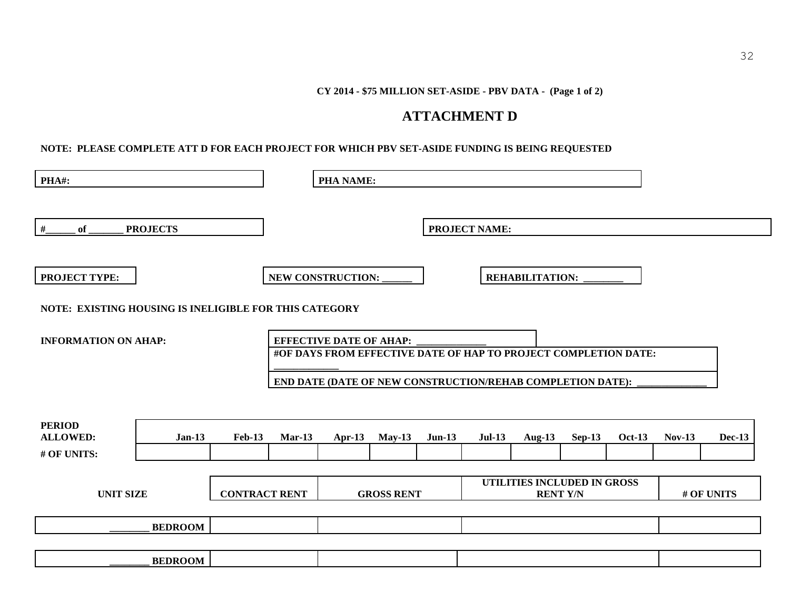#### **CY 2014 - \$75 MILLION SET-ASIDE - PBV DATA - (Page 1 of 2)**

# **ATTACHMENT D**

#### **NOTE: PLEASE COMPLETE ATT D FOR EACH PROJECT FOR WHICH PBV SET-ASIDE FUNDING IS BEING REQUESTED**

| PHA#:                                           |                                                        |                      |                   | <b>PHA NAME:</b>               |          |          |                                                                                                                               |                        |          |               |               |               |
|-------------------------------------------------|--------------------------------------------------------|----------------------|-------------------|--------------------------------|----------|----------|-------------------------------------------------------------------------------------------------------------------------------|------------------------|----------|---------------|---------------|---------------|
| #<br>of                                         | <b>PROJECTS</b>                                        |                      |                   |                                |          |          | <b>PROJECT NAME:</b>                                                                                                          |                        |          |               |               |               |
| <b>PROJECT TYPE:</b>                            |                                                        |                      |                   | NEW CONSTRUCTION:              |          |          |                                                                                                                               | <b>REHABILITATION:</b> |          |               |               |               |
|                                                 | NOTE: EXISTING HOUSING IS INELIGIBLE FOR THIS CATEGORY |                      |                   |                                |          |          |                                                                                                                               |                        |          |               |               |               |
| <b>INFORMATION ON AHAP:</b>                     |                                                        |                      |                   | <b>EFFECTIVE DATE OF AHAP:</b> |          |          | #OF DAYS FROM EFFECTIVE DATE OF HAP TO PROJECT COMPLETION DATE:<br>END DATE (DATE OF NEW CONSTRUCTION/REHAB COMPLETION DATE): |                        |          |               |               |               |
| <b>PERIOD</b><br><b>ALLOWED:</b><br># OF UNITS: | $Jan-13$                                               | <b>Feb-13</b>        | $Mar-13$          | Apr-13                         | $May-13$ | $Jun-13$ | <b>Jul-13</b>                                                                                                                 | Aug- $13$              | $Sep-13$ | <b>Oct-13</b> | <b>Nov-13</b> | <b>Dec-13</b> |
| <b>UNIT SIZE</b>                                |                                                        | <b>CONTRACT RENT</b> | <b>GROSS RENT</b> |                                |          |          | UTILITIES INCLUDED IN GROSS<br><b>RENT Y/N</b>                                                                                |                        |          |               | # OF UNITS    |               |
|                                                 | <b>BEDROOM</b>                                         |                      |                   |                                |          |          |                                                                                                                               |                        |          |               |               |               |
|                                                 | <b>BEDROOM</b>                                         |                      |                   |                                |          |          |                                                                                                                               |                        |          |               |               |               |